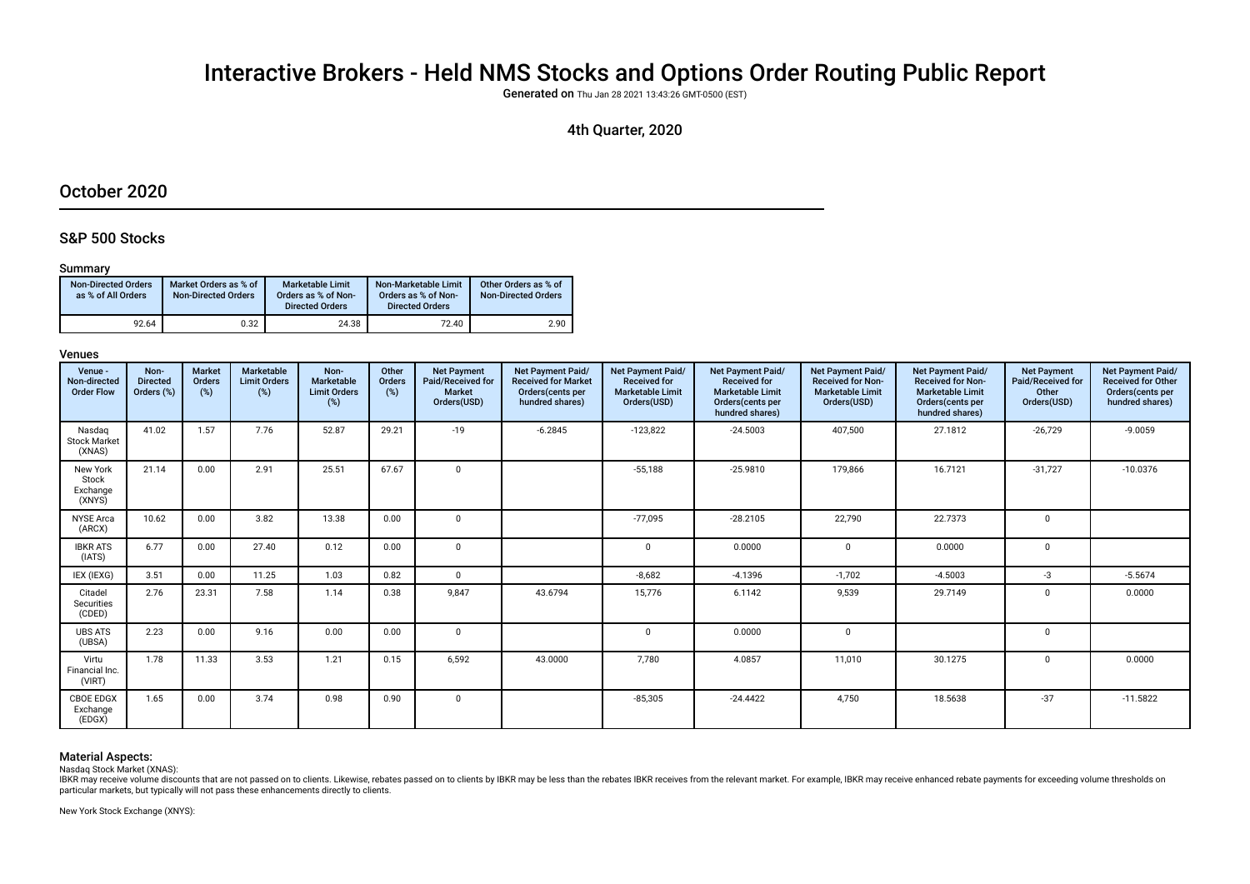# Interactive Brokers - Held NMS Stocks and Options Order Routing Public Report

Generated on Thu Jan 28 2021 13:43:26 GMT-0500 (EST)

# 4th Quarter, 2020

# October 2020

# S&P 500 Stocks

# Summary

| <b>Non-Directed Orders</b><br>as % of All Orders | Market Orders as % of<br><b>Non-Directed Orders</b> | Marketable Limit<br>Orders as % of Non-<br><b>Directed Orders</b> | Non-Marketable Limit<br>Orders as % of Non-<br><b>Directed Orders</b> | Other Orders as % of<br><b>Non-Directed Orders</b> |
|--------------------------------------------------|-----------------------------------------------------|-------------------------------------------------------------------|-----------------------------------------------------------------------|----------------------------------------------------|
| 92.64                                            | 0.32                                                | 24.38                                                             | 72.40                                                                 | 2.90                                               |

# Venues

| Venue -<br>Non-directed<br><b>Order Flow</b> | Non-<br><b>Directed</b><br>Orders (%) | <b>Market</b><br>Orders<br>(%) | Marketable<br><b>Limit Orders</b><br>(%) | Non-<br>Marketable<br><b>Limit Orders</b><br>(%) | Other<br>Orders<br>(%) | <b>Net Payment</b><br>Paid/Received for<br><b>Market</b><br>Orders(USD) | <b>Net Payment Paid/</b><br><b>Received for Market</b><br>Orders(cents per<br>hundred shares) | Net Payment Paid/<br><b>Received for</b><br><b>Marketable Limit</b><br>Orders(USD) | Net Payment Paid/<br><b>Received for</b><br><b>Marketable Limit</b><br>Orders(cents per<br>hundred shares) | Net Payment Paid/<br><b>Received for Non-</b><br><b>Marketable Limit</b><br>Orders(USD) | Net Payment Paid/<br><b>Received for Non-</b><br><b>Marketable Limit</b><br>Orders(cents per<br>hundred shares) | <b>Net Payment</b><br>Paid/Received for<br>Other<br>Orders(USD) | Net Payment Paid/<br><b>Received for Other</b><br>Orders(cents per<br>hundred shares) |
|----------------------------------------------|---------------------------------------|--------------------------------|------------------------------------------|--------------------------------------------------|------------------------|-------------------------------------------------------------------------|-----------------------------------------------------------------------------------------------|------------------------------------------------------------------------------------|------------------------------------------------------------------------------------------------------------|-----------------------------------------------------------------------------------------|-----------------------------------------------------------------------------------------------------------------|-----------------------------------------------------------------|---------------------------------------------------------------------------------------|
| Nasdag<br><b>Stock Market</b><br>(XNAS)      | 41.02                                 | 1.57                           | 7.76                                     | 52.87                                            | 29.21                  | $-19$                                                                   | $-6.2845$                                                                                     | $-123,822$                                                                         | $-24.5003$                                                                                                 | 407,500                                                                                 | 27.1812                                                                                                         | $-26,729$                                                       | $-9.0059$                                                                             |
| New York<br>Stock<br>Exchange<br>(XNYS)      | 21.14                                 | 0.00                           | 2.91                                     | 25.51                                            | 67.67                  | $\mathbf 0$                                                             |                                                                                               | $-55,188$                                                                          | $-25.9810$                                                                                                 | 179,866                                                                                 | 16.7121                                                                                                         | $-31,727$                                                       | $-10.0376$                                                                            |
| <b>NYSE Arca</b><br>(ARCX)                   | 10.62                                 | 0.00                           | 3.82                                     | 13.38                                            | 0.00                   | $\mathbf 0$                                                             |                                                                                               | $-77.095$                                                                          | $-28.2105$                                                                                                 | 22,790                                                                                  | 22.7373                                                                                                         | $\mathbf 0$                                                     |                                                                                       |
| <b>IBKR ATS</b><br>(IATS)                    | 6.77                                  | 0.00                           | 27.40                                    | 0.12                                             | 0.00                   | $\mathbf 0$                                                             |                                                                                               | $\mathbf 0$                                                                        | 0.0000                                                                                                     | 0                                                                                       | 0.0000                                                                                                          | $\mathbf{0}$                                                    |                                                                                       |
| IEX (IEXG)                                   | 3.51                                  | 0.00                           | 11.25                                    | 1.03                                             | 0.82                   | 0                                                                       |                                                                                               | $-8,682$                                                                           | $-4.1396$                                                                                                  | $-1,702$                                                                                | $-4.5003$                                                                                                       | $-3$                                                            | $-5.5674$                                                                             |
| Citadel<br>Securities<br>(CDED)              | 2.76                                  | 23.31                          | 7.58                                     | 1.14                                             | 0.38                   | 9.847                                                                   | 43.6794                                                                                       | 15,776                                                                             | 6.1142                                                                                                     | 9,539                                                                                   | 29.7149                                                                                                         | 0                                                               | 0.0000                                                                                |
| <b>UBS ATS</b><br>(UBSA)                     | 2.23                                  | 0.00                           | 9.16                                     | 0.00                                             | 0.00                   | 0                                                                       |                                                                                               | $\mathbf 0$                                                                        | 0.0000                                                                                                     | $\mathbf 0$                                                                             |                                                                                                                 | 0                                                               |                                                                                       |
| Virtu<br>Financial Inc.<br>(VIRT)            | 1.78                                  | 11.33                          | 3.53                                     | 1.21                                             | 0.15                   | 6,592                                                                   | 43.0000                                                                                       | 7,780                                                                              | 4.0857                                                                                                     | 11,010                                                                                  | 30.1275                                                                                                         | $\mathbf 0$                                                     | 0.0000                                                                                |
| <b>CBOE EDGX</b><br>Exchange<br>(EDGX)       | 1.65                                  | 0.00                           | 3.74                                     | 0.98                                             | 0.90                   | 0                                                                       |                                                                                               | $-85,305$                                                                          | $-24.4422$                                                                                                 | 4,750                                                                                   | 18.5638                                                                                                         | $-37$                                                           | $-11.5822$                                                                            |

# Material Aspects:

Nasdaq Stock Market (XNAS):

Has the relation of the discounts that are not passed on to clients. Likewise, rebates passed on to clients by IBKR may be less than the rebates IBKR receives from the relevant market. For example, IBKR may receive enhance particular markets, but typically will not pass these enhancements directly to clients.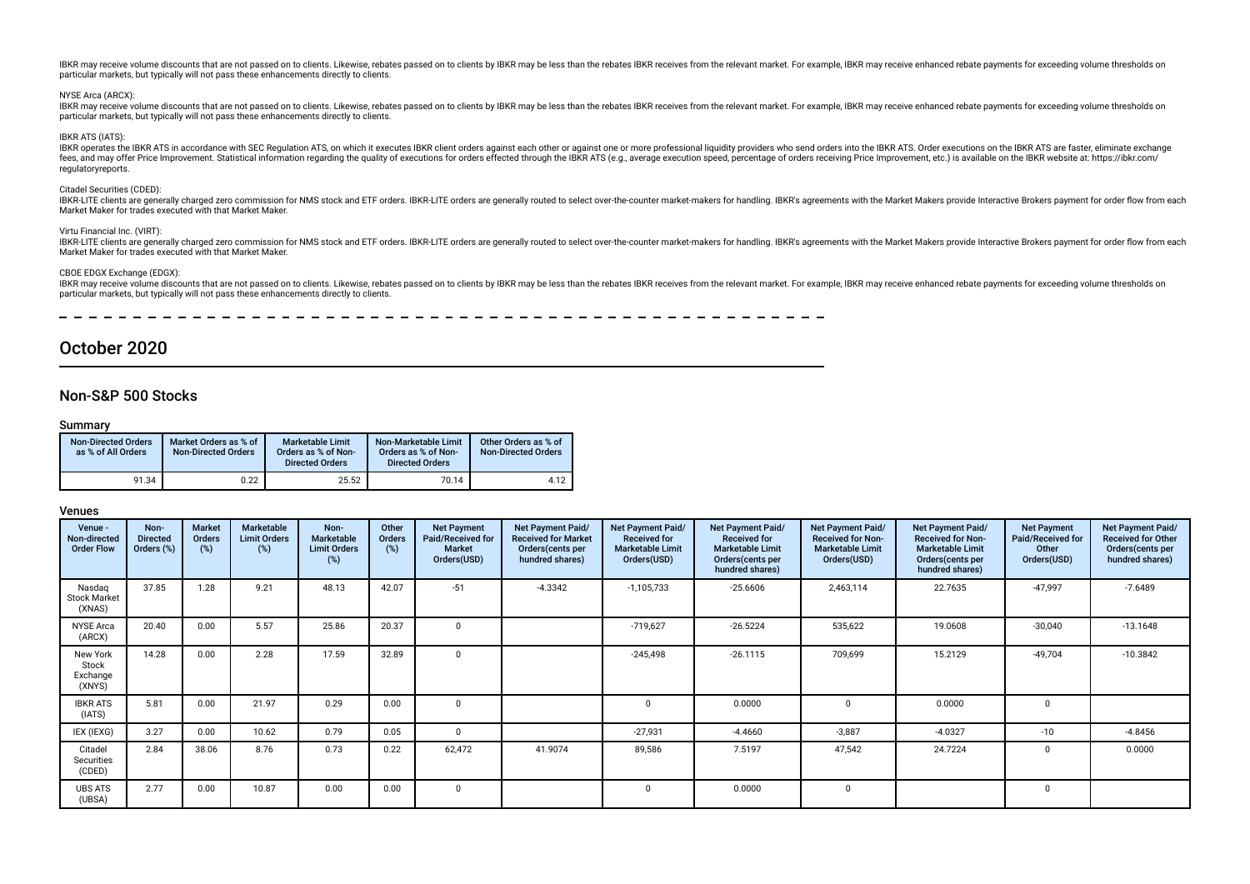#### NYSE Arca (ARCX):

IBKR may receive volume discounts that are not passed on to clients. Likewise, rebates passed on to clients by IBKR may be less than the rebates IBKR receives from the relevant market. For example, IBKR may receive enhance particular markets, but typically will not pass these enhancements directly to clients.

#### IBKR ATS (IATS):

IBKR operates the IBKR ATS in accordance with SEC Regulation ATS, on which it executes IBKR client orders against each other or against one or more professional liquidity providers who send orders into the IBKR ATS. Order because of the process and may offer Price Improvement. Statistical information requality of exercing the diality of executions for orders effected through the IBKR ATS (e.g., average execution speed, percentage of orders regulatoryreports.

#### Citadel Securities (CDED):

IBKR-LITE clients are generally charged zero commission for NMS stock and ETF orders. IBKR-LITE orders are generally routed to select over-the-counter market-makers for handling. IBKR's agreements with the Market Makers pr Market Maker for trades executed with that Market Maker.

#### Virtu Financial Inc. (VIRT):

IBKR-LITE clients are generally charged zero commission for NMS stock and ETF orders. IBKR-LITE orders are generally routed to select over-the-counter market-makers for handling. IBKR's agreements with the Market Makers pr Market Maker for trades executed with that Market Maker.

### CBOE EDGX Exchange (EDGX):

IBKR may receive volume discounts that are not passed on to clients. Likewise, rebates passed on to clients by IBKR may be less than the rebates IBKR receives from the relevant market. For example, IBKR may receive enhance particular markets, but typically will not pass these enhancements directly to clients.

\_\_\_\_\_\_\_\_\_\_\_\_\_\_\_\_\_\_\_\_\_\_\_\_\_\_\_\_\_\_\_\_\_\_\_ \_ \_ \_ \_ \_ \_ \_ \_ \_ \_ \_ \_ \_ \_ \_ \_ \_

# October 2020

# Non-S&P 500 Stocks

# Summary

| <b>Non-Directed Orders</b><br>as % of All Orders | Market Orders as % of<br><b>Non-Directed Orders</b> | <b>Marketable Limit</b><br>Orders as % of Non-<br><b>Directed Orders</b> | Non-Marketable Limit<br>Orders as % of Non-<br><b>Directed Orders</b> | Other Orders as % of<br><b>Non-Directed Orders</b> |
|--------------------------------------------------|-----------------------------------------------------|--------------------------------------------------------------------------|-----------------------------------------------------------------------|----------------------------------------------------|
| 91.34                                            | 0.22                                                | 25.52                                                                    | 70.14                                                                 | 4.12                                               |

| Venue -<br>Non-directed<br><b>Order Flow</b> | Non-<br><b>Directed</b><br>Orders (%) | <b>Market</b><br>Orders<br>(%) | Marketable<br><b>Limit Orders</b><br>$(\%)$ | Non-<br><b>Marketable</b><br><b>Limit Orders</b><br>(%) | Other<br>Orders<br>(%) | <b>Net Payment</b><br>Paid/Received for<br><b>Market</b><br>Orders(USD) | Net Payment Paid/<br><b>Received for Market</b><br>Orders(cents per<br>hundred shares) | Net Payment Paid/<br><b>Received for</b><br><b>Marketable Limit</b><br>Orders(USD) | Net Payment Paid/<br><b>Received for</b><br><b>Marketable Limit</b><br>Orders (cents per<br>hundred shares) | Net Payment Paid/<br><b>Received for Non-</b><br><b>Marketable Limit</b><br>Orders(USD) | Net Payment Paid/<br><b>Received for Non-</b><br><b>Marketable Limit</b><br>Orders (cents per<br>hundred shares) | <b>Net Payment</b><br>Paid/Received for<br>Other<br>Orders(USD) | Net Payment Paid/<br><b>Received for Other</b><br>Orders(cents per<br>hundred shares) |
|----------------------------------------------|---------------------------------------|--------------------------------|---------------------------------------------|---------------------------------------------------------|------------------------|-------------------------------------------------------------------------|----------------------------------------------------------------------------------------|------------------------------------------------------------------------------------|-------------------------------------------------------------------------------------------------------------|-----------------------------------------------------------------------------------------|------------------------------------------------------------------------------------------------------------------|-----------------------------------------------------------------|---------------------------------------------------------------------------------------|
| Nasdag<br><b>Stock Market</b><br>(XNAS)      | 37.85                                 | 1.28                           | 9.21                                        | 48.13                                                   | 42.07                  | $-51$                                                                   | $-4.3342$                                                                              | $-1,105,733$                                                                       | $-25.6606$                                                                                                  | 2,463,114                                                                               | 22.7635                                                                                                          | $-47,997$                                                       | $-7.6489$                                                                             |
| <b>NYSE Arca</b><br>(ARCX)                   | 20.40                                 | 0.00                           | 5.57                                        | 25.86                                                   | 20.37                  |                                                                         |                                                                                        | $-719,627$                                                                         | $-26.5224$                                                                                                  | 535,622                                                                                 | 19.0608                                                                                                          | $-30,040$                                                       | $-13.1648$                                                                            |
| New York<br>Stock<br>Exchange<br>(XNYS)      | 14.28                                 | 0.00                           | 2.28                                        | 17.59                                                   | 32.89                  | $\Omega$                                                                |                                                                                        | $-245,498$                                                                         | $-26.1115$                                                                                                  | 709,699                                                                                 | 15.2129                                                                                                          | $-49,704$                                                       | $-10.3842$                                                                            |
| <b>IBKR ATS</b><br>(IATS)                    | 5.81                                  | 0.00                           | 21.97                                       | 0.29                                                    | 0.00                   | $\Omega$                                                                |                                                                                        |                                                                                    | 0.0000                                                                                                      | $\Omega$                                                                                | 0.0000                                                                                                           | 0                                                               |                                                                                       |
| IEX (IEXG)                                   | 3.27                                  | 0.00                           | 10.62                                       | 0.79                                                    | 0.05                   | $^{\circ}$                                                              |                                                                                        | $-27,931$                                                                          | $-4.4660$                                                                                                   | $-3,887$                                                                                | $-4.0327$                                                                                                        | $-10$                                                           | $-4.8456$                                                                             |
| Citadel<br>Securities<br>(CDED)              | 2.84                                  | 38.06                          | 8.76                                        | 0.73                                                    | 0.22                   | 62,472                                                                  | 41.9074                                                                                | 89,586                                                                             | 7.5197                                                                                                      | 47,542                                                                                  | 24.7224                                                                                                          |                                                                 | 0.0000                                                                                |
| <b>UBS ATS</b><br>(UBSA)                     | 2.77                                  | 0.00                           | 10.87                                       | 0.00                                                    | 0.00                   | $\mathbf 0$                                                             |                                                                                        |                                                                                    | 0.0000                                                                                                      | 0                                                                                       |                                                                                                                  | 0                                                               |                                                                                       |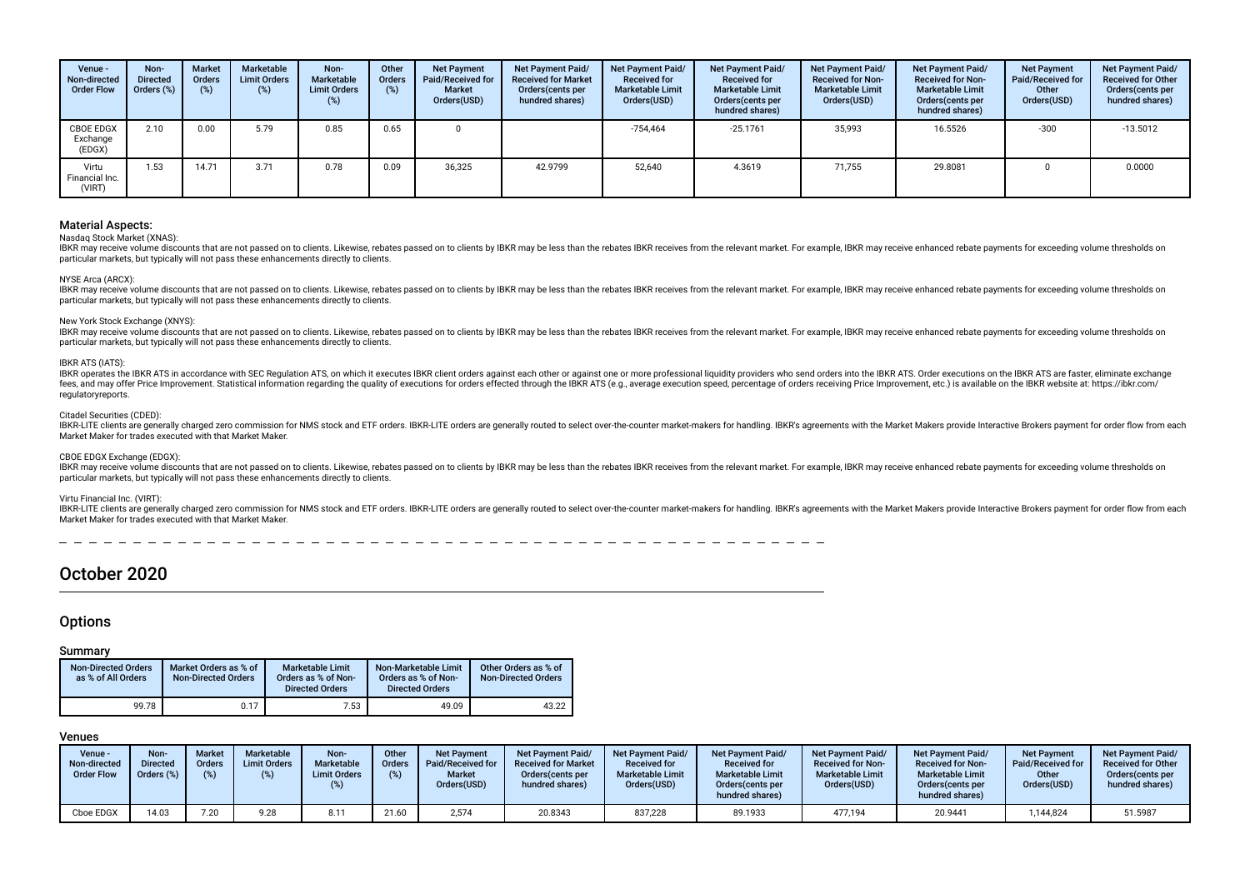| Venue -<br>Non-directed<br><b>Order Flow</b> | Non-<br><b>Directed</b><br>Orders (%) | <b>Market</b><br><b>Orders</b><br>(%) | Marketable<br><b>Limit Orders</b><br>(%) | Non-<br>Marketable<br><b>Limit Orders</b><br>(%) | Other<br><b>Orders</b><br>(%) | <b>Net Payment</b><br>Paid/Received for<br><b>Market</b><br>Orders(USD) | <b>Net Payment Paid/</b><br><b>Received for Market</b><br>Orders cents per<br>hundred shares) | <b>Net Payment Paid/</b><br><b>Received for</b><br><b>Marketable Limit</b><br>Orders(USD) | Net Payment Paid/<br><b>Received for</b><br><b>Marketable Limit</b><br>Orders (cents per<br>hundred shares) | Net Payment Paid/<br><b>Received for Non-</b><br><b>Marketable Limit</b><br>Orders(USD) | Net Payment Paid/<br><b>Received for Non-</b><br><b>Marketable Limit</b><br>Orders (cents per<br>hundred shares) | <b>Net Payment</b><br><b>Paid/Received for</b><br>Other<br>Orders(USD) | <b>Net Payment Paid/</b><br><b>Received for Other</b><br>Orders(cents per<br>hundred shares) |
|----------------------------------------------|---------------------------------------|---------------------------------------|------------------------------------------|--------------------------------------------------|-------------------------------|-------------------------------------------------------------------------|-----------------------------------------------------------------------------------------------|-------------------------------------------------------------------------------------------|-------------------------------------------------------------------------------------------------------------|-----------------------------------------------------------------------------------------|------------------------------------------------------------------------------------------------------------------|------------------------------------------------------------------------|----------------------------------------------------------------------------------------------|
| CBOE EDGX<br>Exchange<br>(EDGX)              | 2.10                                  | 0.00                                  | 5.79                                     | 0.85                                             | 0.65                          |                                                                         |                                                                                               | $-754,464$                                                                                | $-25.1761$                                                                                                  | 35,993                                                                                  | 16.5526                                                                                                          | $-300$                                                                 | $-13.5012$                                                                                   |
| Virtu<br>Financial Inc.<br>(VIRT)            | 1.53                                  | 14.71                                 | 3.71                                     | 0.78                                             | 0.09                          | 36,325                                                                  | 42.9799                                                                                       | 52.640                                                                                    | 4.3619                                                                                                      | 71,755                                                                                  | 29.8081                                                                                                          |                                                                        | 0.0000                                                                                       |

#### Nasdaq Stock Market (XNAS):

IBKR may receive volume discounts that are not passed on to clients. Likewise, rebates passed on to clients by IBKR may be less than the rebates IBKR receives from the relevant market. For example, IBKR may receive enhance particular markets, but typically will not pass these enhancements directly to clients.

#### NYSE Arca (ARCX):

IBKR may receive volume discounts that are not passed on to clients. Likewise, rebates passed on to clients by IBKR may be less than the rebates IBKR receives from the relevant market. For example, IBKR may receive enhance particular markets, but typically will not pass these enhancements directly to clients.

#### New York Stock Exchange (XNYS):

IBKR may receive volume discounts that are not passed on to clients. Likewise, rebates passed on to clients by IBKR may be less than the rebates IBKR receives from the relevant market. For example, IBKR may receive enhance particular markets, but typically will not pass these enhancements directly to clients.

#### IBKR ATS (IATS):

IBKR operates the IBKR ATS in accordance with SEC Regulation ATS, on which it executes IBKR client orders against each other or against one or more professional liquidity providers who send orders into the IBKR ATS. Order fees, and may offer Price Improvement. Statistical information regarding the quality of executions for orders effected through the IBKR ATS (e.g., average execution speed, percentage of orders receiving Price Improvement, regulatoryreports.

#### Citadel Securities (CDED):

IBKR-LITE clients are generally charged zero commission for NMS stock and ETF orders. IBKR-LITE orders are generally routed to select over-the-counter market-makers for handling. IBKR's agreements with the Market Makers pr Market Maker for trades executed with that Market Maker.

#### CBOE EDGX Exchange (EDGX):

IBKR may receive volume discounts that are not passed on to clients. Likewise, rebates passed on to clients by IBKR may be less than the rebates IBKR receives from the relevant market. For example, IBKR may receive enhance particular markets, but typically will not pass these enhancements directly to clients.

#### Virtu Financial Inc. (VIRT):

IBKR-LITE clients are generally charged zero commission for NMS stock and ETF orders. IBKR-LITE orders are generally routed to select over-the-counter market-makers for handling. IBKR's agreements with the Market Makers pr Market Maker for trades executed with that Market Maker.

# October 2020

# **Options**

#### Summary

| <b>Non-Directed Orders</b><br>as % of All Orders | Market Orders as % of<br><b>Non-Directed Orders</b> | <b>Marketable Limit</b><br>Orders as % of Non-<br><b>Directed Orders</b> | Non-Marketable Limit<br>Orders as % of Non-<br><b>Directed Orders</b> | Other Orders as % of<br><b>Non-Directed Orders</b> |
|--------------------------------------------------|-----------------------------------------------------|--------------------------------------------------------------------------|-----------------------------------------------------------------------|----------------------------------------------------|
| 99.78                                            | 0.17                                                | 7.53                                                                     | 49.09                                                                 | 43.22                                              |

| Venue -<br>Non-directed<br><b>Order Flow</b> | Non-<br><b>Directed</b><br>Orders (%) | <b>Market</b><br><b>Orders</b><br>(o/ ) | <b>Marketable</b><br><b>Limit Orders</b> | Non-<br><b>Marketable</b><br><b>Limit Orders</b> | Other<br>Orders<br>(%) | <b>Net Payment</b><br>Paid/Received for<br><b>Market</b><br>Orders(USD) | Net Payment Paid/<br><b>Received for Market</b><br>Orders (cents per<br>hundred shares) | Net Payment Paid/<br><b>Received for</b><br><b>Marketable Limit</b><br>Orders(USD) | <b>Net Payment Paid/</b><br><b>Received for</b><br><b>Marketable Limit</b><br>Orders (cents per<br>hundred shares) | <b>Net Payment Paid/</b><br><b>Received for Non-</b><br><b>Marketable Limit</b><br>Orders(USD) | <b>Net Payment Paid/</b><br><b>Received for Non-</b><br><b>Marketable Limit</b><br>Orders(cents per<br>hundred shares) | <b>Net Payment</b><br><b>Paid/Received for</b><br>Other<br>Orders(USD) | <b>Net Payment Paid/</b><br><b>Received for Other</b><br>Orders (cents per<br>hundred shares) |
|----------------------------------------------|---------------------------------------|-----------------------------------------|------------------------------------------|--------------------------------------------------|------------------------|-------------------------------------------------------------------------|-----------------------------------------------------------------------------------------|------------------------------------------------------------------------------------|--------------------------------------------------------------------------------------------------------------------|------------------------------------------------------------------------------------------------|------------------------------------------------------------------------------------------------------------------------|------------------------------------------------------------------------|-----------------------------------------------------------------------------------------------|
| Cboe EDGX                                    | 14.03                                 | 7.20                                    | 9.28                                     | 8.11                                             | 21.60                  | 2,574                                                                   | 20.8343                                                                                 | 837,228                                                                            | 89.1933                                                                                                            | 477,194                                                                                        | 20.9441                                                                                                                | ,144,824                                                               | 51.5987                                                                                       |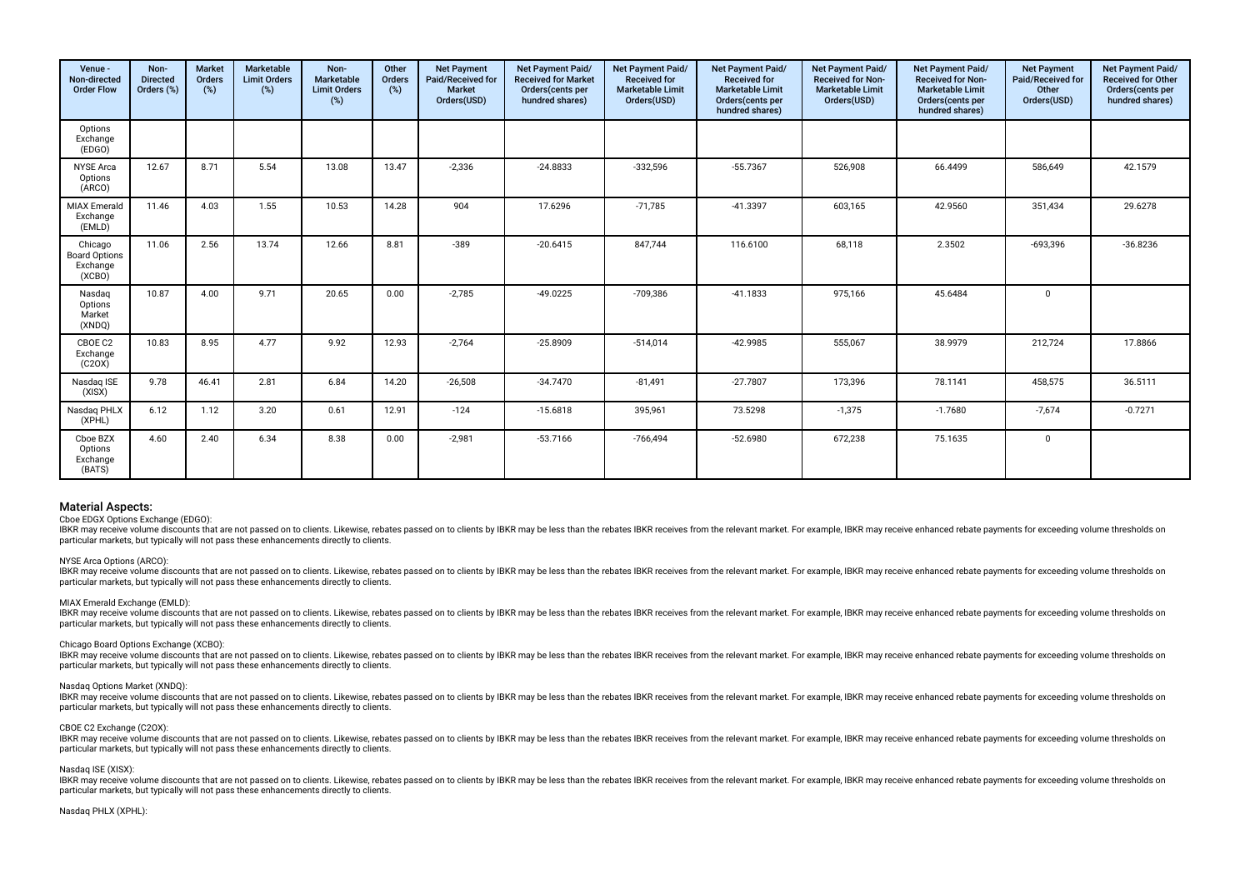| Venue -<br>Non-directed<br><b>Order Flow</b>          | Non-<br><b>Directed</b><br>Orders (%) | <b>Market</b><br>Orders<br>$(\%)$ | <b>Marketable</b><br><b>Limit Orders</b><br>(%) | Non-<br>Marketable<br><b>Limit Orders</b><br>$(\%)$ | Other<br>Orders<br>$(\%)$ | <b>Net Payment</b><br>Paid/Received for<br><b>Market</b><br>Orders(USD) | Net Payment Paid/<br><b>Received for Market</b><br>Orders(cents per<br>hundred shares) | Net Payment Paid/<br><b>Received for</b><br><b>Marketable Limit</b><br>Orders(USD) | Net Payment Paid/<br><b>Received for</b><br><b>Marketable Limit</b><br>Orders(cents per<br>hundred shares) | Net Payment Paid/<br>Received for Non-<br><b>Marketable Limit</b><br>Orders(USD) | Net Payment Paid/<br>Received for Non-<br><b>Marketable Limit</b><br>Orders(cents per<br>hundred shares) | <b>Net Payment</b><br>Paid/Received for<br>Other<br>Orders(USD) | Net Payment Paid/<br><b>Received for Other</b><br>Orders(cents per<br>hundred shares) |
|-------------------------------------------------------|---------------------------------------|-----------------------------------|-------------------------------------------------|-----------------------------------------------------|---------------------------|-------------------------------------------------------------------------|----------------------------------------------------------------------------------------|------------------------------------------------------------------------------------|------------------------------------------------------------------------------------------------------------|----------------------------------------------------------------------------------|----------------------------------------------------------------------------------------------------------|-----------------------------------------------------------------|---------------------------------------------------------------------------------------|
| Options<br>Exchange<br>(EDGO)                         |                                       |                                   |                                                 |                                                     |                           |                                                                         |                                                                                        |                                                                                    |                                                                                                            |                                                                                  |                                                                                                          |                                                                 |                                                                                       |
| <b>NYSE Arca</b><br>Options<br>(ARCO)                 | 12.67                                 | 8.71                              | 5.54                                            | 13.08                                               | 13.47                     | $-2,336$                                                                | $-24.8833$                                                                             | $-332,596$                                                                         | $-55.7367$                                                                                                 | 526,908                                                                          | 66.4499                                                                                                  | 586,649                                                         | 42.1579                                                                               |
| <b>MIAX</b> Emerald<br>Exchange<br>(EMLD)             | 11.46                                 | 4.03                              | 1.55                                            | 10.53                                               | 14.28                     | 904                                                                     | 17.6296                                                                                | $-71,785$                                                                          | $-41.3397$                                                                                                 | 603,165                                                                          | 42.9560                                                                                                  | 351,434                                                         | 29.6278                                                                               |
| Chicago<br><b>Board Options</b><br>Exchange<br>(XCBO) | 11.06                                 | 2.56                              | 13.74                                           | 12.66                                               | 8.81                      | $-389$                                                                  | $-20.6415$                                                                             | 847,744                                                                            | 116.6100                                                                                                   | 68,118                                                                           | 2.3502                                                                                                   | $-693,396$                                                      | $-36.8236$                                                                            |
| Nasdag<br>Options<br>Market<br>(XNDQ)                 | 10.87                                 | 4.00                              | 9.71                                            | 20.65                                               | 0.00                      | $-2,785$                                                                | $-49.0225$                                                                             | -709,386                                                                           | $-41.1833$                                                                                                 | 975,166                                                                          | 45.6484                                                                                                  | $\mathbf 0$                                                     |                                                                                       |
| CBOE C2<br>Exchange<br>(C20X)                         | 10.83                                 | 8.95                              | 4.77                                            | 9.92                                                | 12.93                     | $-2.764$                                                                | $-25.8909$                                                                             | $-514,014$                                                                         | $-42.9985$                                                                                                 | 555,067                                                                          | 38.9979                                                                                                  | 212,724                                                         | 17.8866                                                                               |
| Nasdag ISE<br>(XISX)                                  | 9.78                                  | 46.41                             | 2.81                                            | 6.84                                                | 14.20                     | $-26,508$                                                               | $-34.7470$                                                                             | $-81,491$                                                                          | $-27.7807$                                                                                                 | 173,396                                                                          | 78.1141                                                                                                  | 458,575                                                         | 36.5111                                                                               |
| Nasdag PHLX<br>(XPHL)                                 | 6.12                                  | 1.12                              | 3.20                                            | 0.61                                                | 12.91                     | $-124$                                                                  | $-15.6818$                                                                             | 395,961                                                                            | 73.5298                                                                                                    | $-1,375$                                                                         | $-1.7680$                                                                                                | $-7,674$                                                        | $-0.7271$                                                                             |
| Choe BZX<br>Options<br>Exchange<br>(BATS)             | 4.60                                  | 2.40                              | 6.34                                            | 8.38                                                | 0.00                      | $-2,981$                                                                | $-53.7166$                                                                             | -766,494                                                                           | $-52.6980$                                                                                                 | 672,238                                                                          | 75.1635                                                                                                  | $\mathbf 0$                                                     |                                                                                       |

Cboe EDGX Options Exchange (EDGO):

IBKR may receive volume discounts that are not passed on to clients. Likewise, rebates passed on to clients by IBKR may be less than the rebates IBKR receives from the relevant market. For example, IBKR may receive enhance particular markets, but typically will not pass these enhancements directly to clients.

#### NYSE Arca Options (ARCO):

IBKR may receive yolume discounts that are not passed on to clients. Likewise, rebates passed on to clients by IBKR may be less than the rebates IBKR receives from the relevant market. For example, IBKR may receive enhance particular markets, but typically will not pass these enhancements directly to clients.

#### MIAX Emerald Exchange (EMLD):

IBKR may receive volume discounts that are not passed on to clients. Likewise, rebates passed on to clients by IBKR may be less than the rebates IBKR receives from the relevant market. For example, IBKR may receive enhance particular markets, but typically will not pass these enhancements directly to clients.

#### Chicago Board Options Exchange (XCBO):

BKR may receive yolume discounts that are not passed on to clients. Likewise, rebates passed on to clients by IBKR may be less than the rebates IBKR receives from the relevant market. For example, IBKR may receive enhanced particular markets, but typically will not pass these enhancements directly to clients.

#### Nasdaq Options Market (XNDQ):

IBKR may receive volume discounts that are not passed on to clients. Likewise, rebates passed on to clients by IBKR may be less than the rebates IBKR receives from the relevant market. For example, IBKR may receive enhance particular markets, but typically will not pass these enhancements directly to clients.

#### CBOE C2 Exchange (C2OX):

IBKR may receive volume discounts that are not passed on to clients. Likewise, rebates passed on to clients by IBKR may be less than the rebates IBKR receives from the relevant market. For example, IBKR may receive enhance particular markets, but typically will not pass these enhancements directly to clients.

#### Nasdaq ISE (XISX):

IBKR may receive volume discounts that are not passed on to clients. Likewise, rebates passed on to clients by IBKR may be less than the rebates IBKR receives from the relevant market. For example, IBKR may receive enhance particular markets, but typically will not pass these enhancements directly to clients.

#### Nasdaq PHLX (XPHL):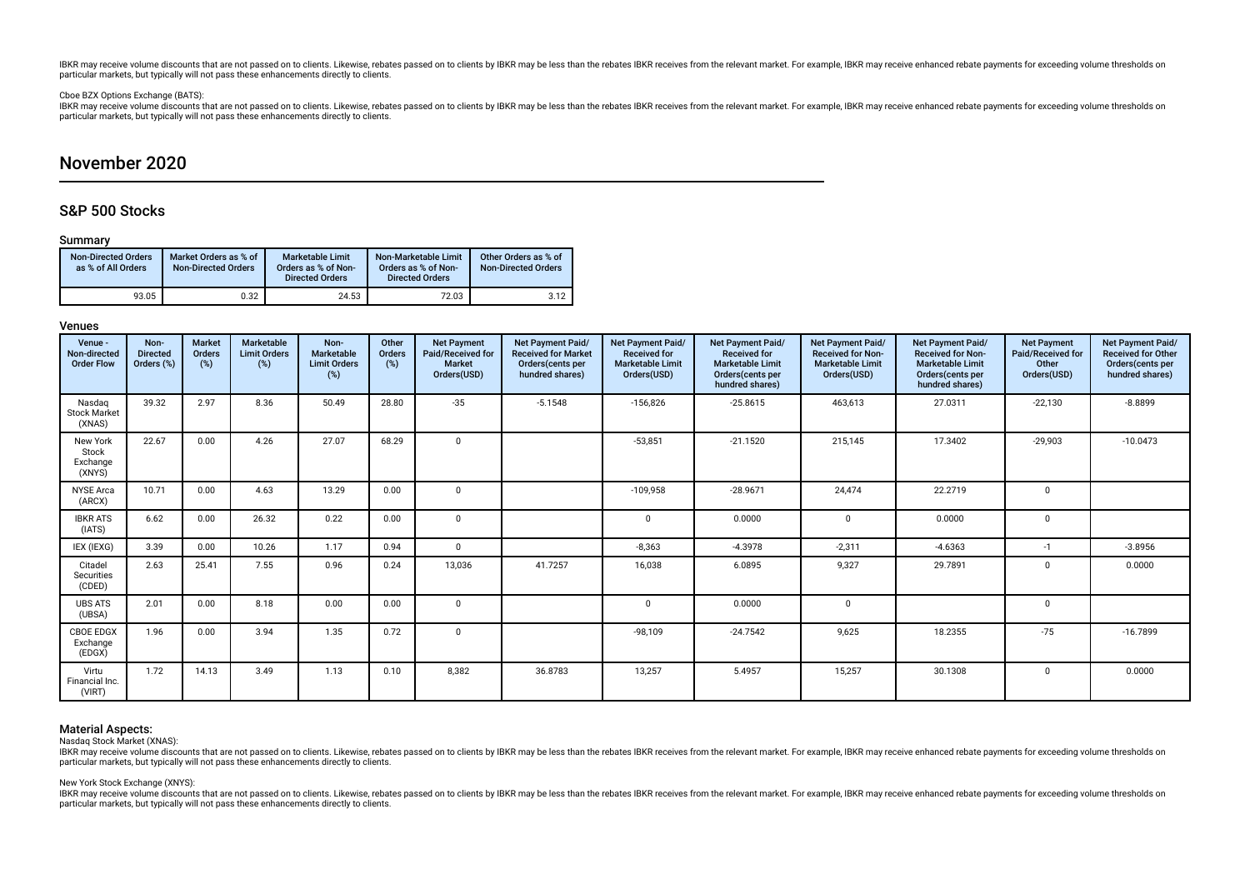# Cboe BZX Options Exchange (BATS):

BKR may receive volume discounts that are not passed on to clients. Likewise, rebates passed on to clients by IBKR may be less than the rebates IBKR receives from the relevant market. For example, IBKR may receive enhanced particular markets, but typically will not pass these enhancements directly to clients.

# November 2020

# S&P 500 Stocks

# Summary

| <b>Non-Directed Orders</b><br>as % of All Orders | Market Orders as % of<br><b>Non-Directed Orders</b> | <b>Marketable Limit</b><br>Orders as % of Non-<br><b>Directed Orders</b> | Non-Marketable Limit<br>Orders as % of Non-<br><b>Directed Orders</b> | Other Orders as % of<br><b>Non-Directed Orders</b> |
|--------------------------------------------------|-----------------------------------------------------|--------------------------------------------------------------------------|-----------------------------------------------------------------------|----------------------------------------------------|
| 93.05                                            | 0.32                                                | 24.53                                                                    | 72.03                                                                 | 3.12                                               |

# Venues

| Venue -<br>Non-directed<br><b>Order Flow</b> | Non-<br><b>Directed</b><br>Orders (%) | <b>Market</b><br>Orders<br>(%) | <b>Marketable</b><br><b>Limit Orders</b><br>$(\%)$ | Non-<br>Marketable<br><b>Limit Orders</b><br>$(\%)$ | Other<br>Orders<br>(%) | <b>Net Payment</b><br>Paid/Received for<br><b>Market</b><br>Orders(USD) | <b>Net Payment Paid/</b><br><b>Received for Market</b><br>Orders(cents per<br>hundred shares) | <b>Net Payment Paid/</b><br><b>Received for</b><br><b>Marketable Limit</b><br>Orders(USD) | Net Payment Paid/<br><b>Received for</b><br><b>Marketable Limit</b><br>Orders(cents per<br>hundred shares) | <b>Net Payment Paid/</b><br><b>Received for Non-</b><br><b>Marketable Limit</b><br>Orders(USD) | <b>Net Payment Paid/</b><br><b>Received for Non-</b><br><b>Marketable Limit</b><br>Orders (cents per<br>hundred shares) | <b>Net Payment</b><br>Paid/Received for<br>Other<br>Orders(USD) | Net Payment Paid/<br><b>Received for Other</b><br>Orders(cents per<br>hundred shares) |
|----------------------------------------------|---------------------------------------|--------------------------------|----------------------------------------------------|-----------------------------------------------------|------------------------|-------------------------------------------------------------------------|-----------------------------------------------------------------------------------------------|-------------------------------------------------------------------------------------------|------------------------------------------------------------------------------------------------------------|------------------------------------------------------------------------------------------------|-------------------------------------------------------------------------------------------------------------------------|-----------------------------------------------------------------|---------------------------------------------------------------------------------------|
| Nasdag<br><b>Stock Market</b><br>(XNAS)      | 39.32                                 | 2.97                           | 8.36                                               | 50.49                                               | 28.80                  | $-35$                                                                   | $-5.1548$                                                                                     | $-156,826$                                                                                | $-25.8615$                                                                                                 | 463,613                                                                                        | 27.0311                                                                                                                 | $-22,130$                                                       | $-8.8899$                                                                             |
| New York<br>Stock<br>Exchange<br>(XNYS)      | 22.67                                 | 0.00                           | 4.26                                               | 27.07                                               | 68.29                  | $\mathbf 0$                                                             |                                                                                               | $-53,851$                                                                                 | $-21.1520$                                                                                                 | 215,145                                                                                        | 17.3402                                                                                                                 | $-29,903$                                                       | $-10.0473$                                                                            |
| <b>NYSE</b> Arca<br>(ARCX)                   | 10.71                                 | 0.00                           | 4.63                                               | 13.29                                               | 0.00                   | 0                                                                       |                                                                                               | $-109,958$                                                                                | $-28.9671$                                                                                                 | 24,474                                                                                         | 22.2719                                                                                                                 | $\Omega$                                                        |                                                                                       |
| <b>IBKR ATS</b><br>(IATS)                    | 6.62                                  | 0.00                           | 26.32                                              | 0.22                                                | 0.00                   | $\mathbf 0$                                                             |                                                                                               | $\Omega$                                                                                  | 0.0000                                                                                                     | $\mathbf 0$                                                                                    | 0.0000                                                                                                                  | $\mathbf 0$                                                     |                                                                                       |
| IEX (IEXG)                                   | 3.39                                  | 0.00                           | 10.26                                              | 1.17                                                | 0.94                   | $\Omega$                                                                |                                                                                               | $-8,363$                                                                                  | $-4.3978$                                                                                                  | $-2,311$                                                                                       | $-4.6363$                                                                                                               | $-1$                                                            | $-3.8956$                                                                             |
| Citadel<br>Securities<br>(CDED)              | 2.63                                  | 25.41                          | 7.55                                               | 0.96                                                | 0.24                   | 13,036                                                                  | 41.7257                                                                                       | 16,038                                                                                    | 6.0895                                                                                                     | 9,327                                                                                          | 29.7891                                                                                                                 | $\Omega$                                                        | 0.0000                                                                                |
| <b>UBS ATS</b><br>(UBSA)                     | 2.01                                  | 0.00                           | 8.18                                               | 0.00                                                | 0.00                   | $\mathbf 0$                                                             |                                                                                               | U                                                                                         | 0.0000                                                                                                     | $\Omega$                                                                                       |                                                                                                                         | $\mathbf 0$                                                     |                                                                                       |
| <b>CBOE EDGX</b><br>Exchange<br>(EDGX)       | 1.96                                  | 0.00                           | 3.94                                               | 1.35                                                | 0.72                   | $\mathbf 0$                                                             |                                                                                               | $-98,109$                                                                                 | $-24.7542$                                                                                                 | 9,625                                                                                          | 18.2355                                                                                                                 | $-75$                                                           | $-16.7899$                                                                            |
| Virtu<br>Financial Inc.<br>(VIRT)            | 1.72                                  | 14.13                          | 3.49                                               | 1.13                                                | 0.10                   | 8,382                                                                   | 36.8783                                                                                       | 13,257                                                                                    | 5.4957                                                                                                     | 15,257                                                                                         | 30.1308                                                                                                                 | $\Omega$                                                        | 0.0000                                                                                |

# Material Aspects:

Nasdaq Stock Market (XNAS):

IBKR may receive volume discounts that are not passed on to clients. Likewise, rebates passed on to clients by IBKR may be less than the rebates IBKR receives from the relevant market. For example, IBKR may receive enhance particular markets, but typically will not pass these enhancements directly to clients.

#### New York Stock Exchange (XNYS):

IBKR may receive volume discounts that are not passed on to clients. Likewise, rebates passed on to clients by IBKR may be less than the rebates IBKR receives from the relevant market. For example, IBKR may receive enhance particular markets, but typically will not pass these enhancements directly to clients.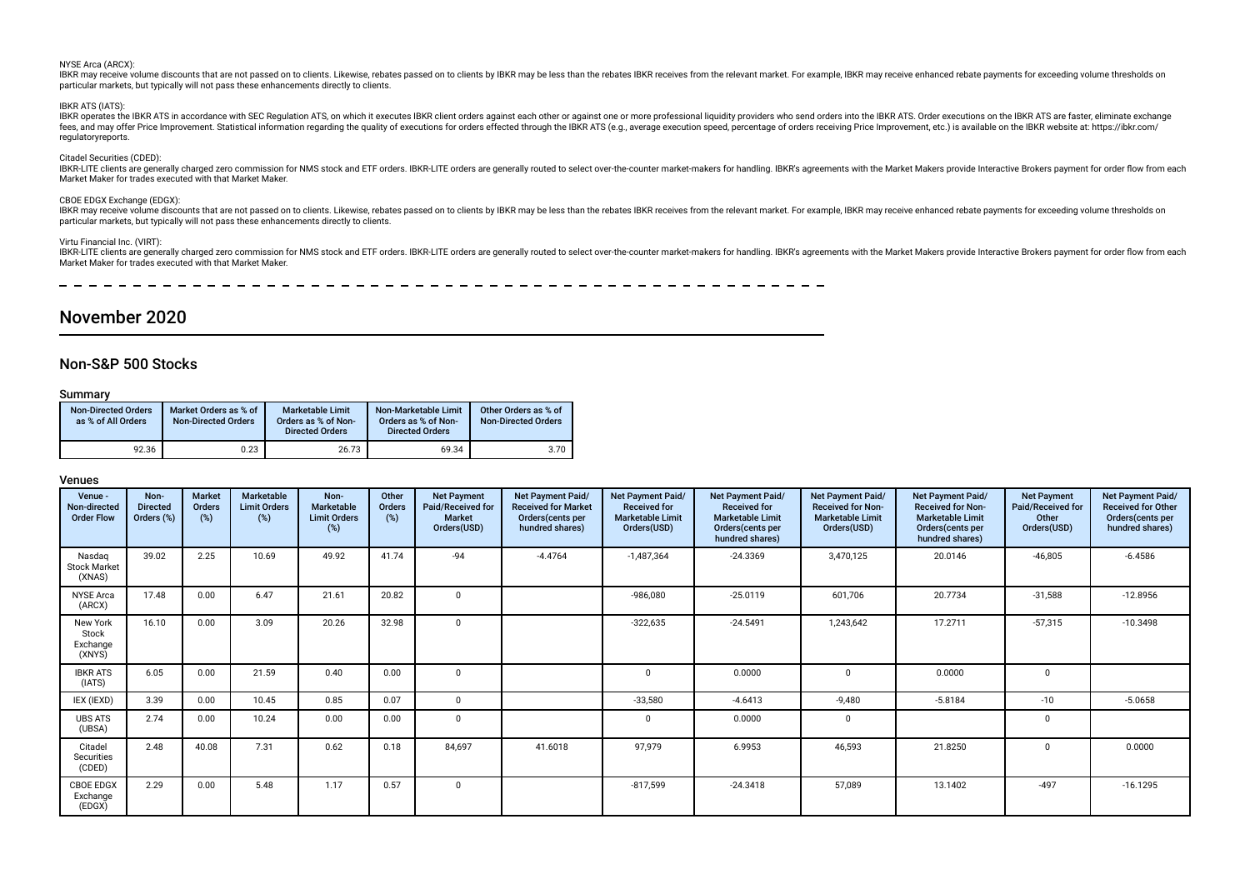#### NYSE Arca (ARCX):

IBKR may receive volume discounts that are not passed on to clients. Likewise, rebates passed on to clients by IBKR may be less than the rebates IBKR receives from the relevant market. For example, IBKR may receive enhance particular markets, but typically will not pass these enhancements directly to clients.

#### IBKR ATS (IATS):

IBKR operates the IBKR ATS in accordance with SEC Regulation ATS, on which it executes IBKR client orders against each other or against one or more professional liquidity providers who send orders into the IBKR ATS. Order fees, and may offer Price Improvement. Statistical information regarding the quality of executions for orders effected through the IBKR ATS (e.g., average execution speed, percentage of orders receiving Price Improvement, regulatoryreports.

#### Citadel Securities (CDED):

IBKR-LITE clients are generally charged zero commission for NMS stock and ETF orders. IBKR-LITE orders are generally routed to select over-the-counter market-makers for handling. IBKR's agreements with the Market Makers pr Market Maker for trades executed with that Market Maker.

#### CBOE EDGX Exchange (EDGX):

IBKR may receive volume discounts that are not passed on to clients. Likewise, rebates passed on to clients by IBKR may be less than the rebates IBKR receives from the relevant market. For example, IBKR may receive enhance particular markets, but typically will not pass these enhancements directly to clients.

#### Virtu Financial Inc. (VIRT):

IBKR-LITE clients are generally charged zero commission for NMS stock and ETF orders. IBKR-LITE orders are generally routed to select over-the-counter market-makers for handling. IBKR's agreements with the Market Makers pr Market Maker for trades executed with that Market Maker.

 $\frac{1}{2}$ 

# November 2020

# Non-S&P 500 Stocks

#### Summary

| <b>Non-Directed Orders</b><br>as % of All Orders | Market Orders as % of<br><b>Non-Directed Orders</b> | Marketable Limit<br>Orders as % of Non-<br><b>Directed Orders</b> | Non-Marketable Limit<br>Orders as % of Non-<br><b>Directed Orders</b> | Other Orders as % of<br>Non-Directed Orders |
|--------------------------------------------------|-----------------------------------------------------|-------------------------------------------------------------------|-----------------------------------------------------------------------|---------------------------------------------|
| 92.36                                            | 0.23                                                | 26.73                                                             | 69.34                                                                 | 3.70                                        |

| Venue -<br>Non-directed<br><b>Order Flow</b> | Non-<br><b>Directed</b><br>Orders (%) | <b>Market</b><br>Orders<br>(%) | Marketable<br><b>Limit Orders</b><br>(%) | Non-<br>Marketable<br><b>Limit Orders</b><br>(%) | Other<br>Orders<br>(%) | <b>Net Payment</b><br>Paid/Received for<br><b>Market</b><br>Orders(USD) | Net Payment Paid/<br><b>Received for Market</b><br>Orders(cents per<br>hundred shares) | <b>Net Payment Paid/</b><br><b>Received for</b><br><b>Marketable Limit</b><br>Orders(USD) | Net Payment Paid/<br><b>Received for</b><br><b>Marketable Limit</b><br>Orders(cents per<br>hundred shares) | Net Payment Paid/<br><b>Received for Non-</b><br><b>Marketable Limit</b><br>Orders(USD) | Net Payment Paid/<br><b>Received for Non-</b><br><b>Marketable Limit</b><br>Orders(cents per<br>hundred shares) | <b>Net Payment</b><br>Paid/Received for<br>Other<br>Orders(USD) | Net Payment Paid/<br><b>Received for Other</b><br>Orders(cents per<br>hundred shares) |
|----------------------------------------------|---------------------------------------|--------------------------------|------------------------------------------|--------------------------------------------------|------------------------|-------------------------------------------------------------------------|----------------------------------------------------------------------------------------|-------------------------------------------------------------------------------------------|------------------------------------------------------------------------------------------------------------|-----------------------------------------------------------------------------------------|-----------------------------------------------------------------------------------------------------------------|-----------------------------------------------------------------|---------------------------------------------------------------------------------------|
| Nasdaq<br><b>Stock Market</b><br>(XNAS)      | 39.02                                 | 2.25                           | 10.69                                    | 49.92                                            | 41.74                  | $-94$                                                                   | $-4.4764$                                                                              | $-1,487,364$                                                                              | $-24.3369$                                                                                                 | 3,470,125                                                                               | 20.0146                                                                                                         | $-46,805$                                                       | $-6.4586$                                                                             |
| <b>NYSE Arca</b><br>(ARCX)                   | 17.48                                 | 0.00                           | 6.47                                     | 21.61                                            | 20.82                  | $\Omega$                                                                |                                                                                        | $-986,080$                                                                                | $-25.0119$                                                                                                 | 601,706                                                                                 | 20.7734                                                                                                         | $-31,588$                                                       | $-12.8956$                                                                            |
| New York<br>Stock<br>Exchange<br>(XNYS)      | 16.10                                 | 0.00                           | 3.09                                     | 20.26                                            | 32.98                  | $\Omega$                                                                |                                                                                        | $-322,635$                                                                                | $-24.5491$                                                                                                 | 1,243,642                                                                               | 17.2711                                                                                                         | $-57,315$                                                       | $-10.3498$                                                                            |
| <b>IBKR ATS</b><br>(IATS)                    | 6.05                                  | 0.00                           | 21.59                                    | 0.40                                             | 0.00                   | $\mathbf 0$                                                             |                                                                                        | $\Omega$                                                                                  | 0.0000                                                                                                     | $\Omega$                                                                                | 0.0000                                                                                                          | $\Omega$                                                        |                                                                                       |
| IEX (IEXD)                                   | 3.39                                  | 0.00                           | 10.45                                    | 0.85                                             | 0.07                   | $\mathbf 0$                                                             |                                                                                        | $-33,580$                                                                                 | $-4.6413$                                                                                                  | $-9,480$                                                                                | $-5.8184$                                                                                                       | $-10$                                                           | $-5.0658$                                                                             |
| <b>UBS ATS</b><br>(UBSA)                     | 2.74                                  | 0.00                           | 10.24                                    | 0.00                                             | 0.00                   | $\mathbf 0$                                                             |                                                                                        |                                                                                           | 0.0000                                                                                                     | 0                                                                                       |                                                                                                                 |                                                                 |                                                                                       |
| Citadel<br>Securities<br>(CDED)              | 2.48                                  | 40.08                          | 7.31                                     | 0.62                                             | 0.18                   | 84,697                                                                  | 41.6018                                                                                | 97,979                                                                                    | 6.9953                                                                                                     | 46,593                                                                                  | 21.8250                                                                                                         |                                                                 | 0.0000                                                                                |
| <b>CBOE EDGX</b><br>Exchange<br>(EDGX)       | 2.29                                  | 0.00                           | 5.48                                     | 1.17                                             | 0.57                   | $\mathbf 0$                                                             |                                                                                        | $-817,599$                                                                                | $-24.3418$                                                                                                 | 57,089                                                                                  | 13.1402                                                                                                         | $-497$                                                          | $-16.1295$                                                                            |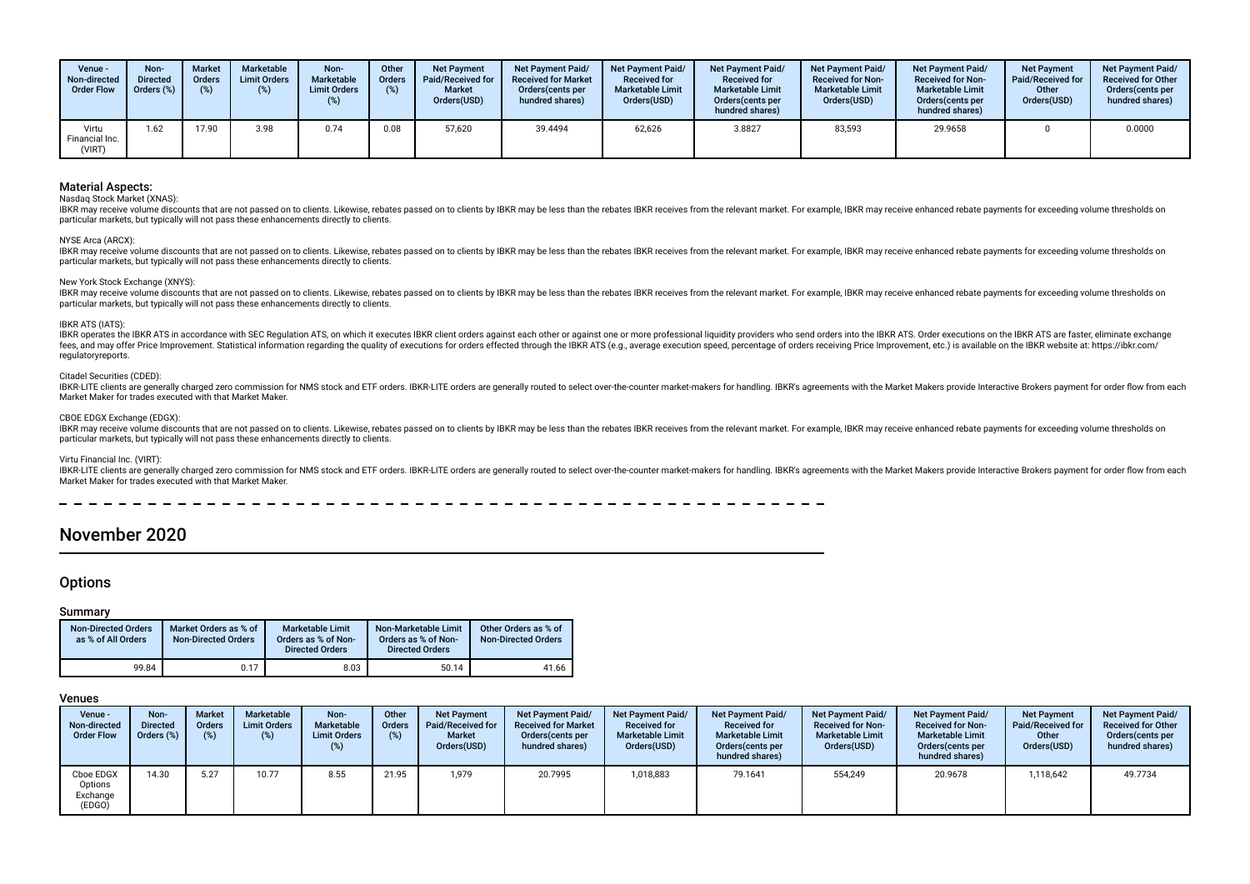| Venue -<br>Non-directed<br><b>Order Flow</b> | Non-<br><b>Directed</b><br>Orders (%) | <b>Market</b><br><b>Orders</b> | Marketable<br><b>Limit Orders</b><br>(%) | Non-<br>Marketable<br><b>Limit Orders</b> | Other<br><b>Orders</b><br>(%) | <b>Net Payment</b><br>Paid/Received for<br><b>Market</b><br>Orders(USD) | <b>Net Payment Paid/</b><br><b>Received for Market</b><br>Orders (cents per<br>hundred shares) | <b>Net Payment Paid/</b><br><b>Received for</b><br><b>Marketable Limit</b><br>Orders(USD) | <b>Net Payment Paid/</b><br><b>Received for</b><br><b>Marketable Limit</b><br>Orders (cents per<br>hundred shares) | <b>Net Payment Paid/</b><br><b>Received for Non-</b><br><b>Marketable Limit</b><br>Orders(USD) | <b>Net Payment Paid/</b><br><b>Received for Non-</b><br><b>Marketable Limit</b><br>Orders (cents per<br>hundred shares) | <b>Net Payment</b><br><b>Paid/Received for</b><br>Other<br>Orders(USD) | <b>Net Payment Paid/</b><br><b>Received for Other</b><br>Orders(cents per<br>hundred shares) |
|----------------------------------------------|---------------------------------------|--------------------------------|------------------------------------------|-------------------------------------------|-------------------------------|-------------------------------------------------------------------------|------------------------------------------------------------------------------------------------|-------------------------------------------------------------------------------------------|--------------------------------------------------------------------------------------------------------------------|------------------------------------------------------------------------------------------------|-------------------------------------------------------------------------------------------------------------------------|------------------------------------------------------------------------|----------------------------------------------------------------------------------------------|
| Virtu<br>Financial Inc.<br>(VIRT)            | 1.62                                  | 17.90                          | 3.98                                     | 0.74                                      | 0.08                          | 57,620                                                                  | 39.4494                                                                                        | 62,626                                                                                    | 3.8827                                                                                                             | 83,593                                                                                         | 29.9658                                                                                                                 |                                                                        | 0.0000                                                                                       |

#### Nasdaq Stock Market (XNAS):

IBKR may receive volume discounts that are not passed on to clients. Likewise, rebates passed on to clients by IBKR may be less than the rebates IBKR receives from the relevant market. For example, IBKR may receive enhance particular markets, but typically will not pass these enhancements directly to clients.

#### NYSE Arca (ARCX):

IBKR may receive volume discounts that are not passed on to clients. Likewise, rebates passed on to clients by IBKR may be less than the rebates IBKR receives from the relevant market. For example, IBKR may receive enhance particular markets, but typically will not pass these enhancements directly to clients.

#### New York Stock Exchange (XNYS):

IBKR may receive volume discounts that are not passed on to clients. Likewise, rebates passed on to clients by IBKR may be less than the rebates IBKR receives from the relevant market. For example, IBKR may receive enhance particular markets, but typically will not pass these enhancements directly to clients.

#### IBKR ATS (IATS):

IBKR operates the IBKR ATS in accordance with SEC Regulation ATS, on which it executes IBKR client orders against each other or against one or more professional liquidity providers who send orders into the IBKR ATS. Order fees, and may offer Price Improvement. Statistical information regarding the quality of executions for orders effected through the IBKR ATS (e.g., average execution speed, percentage of orders receiving Price Improvement, regulatoryreports.

#### Citadel Securities (CDED):

IBKR-LITE clients are generally charged zero commission for NMS stock and ETF orders. IBKR-LITE orders are generally routed to select over-the-counter market-makers for handling. IBKR's agreements with the Market Makers pr Market Maker for trades executed with that Market Maker.

#### CBOE EDGX Exchange (EDGX):

IBKR may receive volume discounts that are not passed on to clients. Likewise, rebates passed on to clients by IBKR may be less than the rebates IBKR receives from the relevant market. For example, IBKR may receive enhance particular markets, but typically will not pass these enhancements directly to clients.

#### Virtu Financial Inc. (VIRT):

IBKR-LITE clients are generally charged zero commission for NMS stock and ETF orders. IBKR-LITE orders are generally routed to select over-the-counter market-makers for handling. IBKR's agreements with the Market Makers pr Market Maker for trades executed with that Market Maker.

# November 2020

# **Options**

#### Summary

| <b>Non-Directed Orders</b><br>as % of All Orders | Market Orders as % of<br><b>Non-Directed Orders</b> | <b>Marketable Limit</b><br>Orders as % of Non-<br><b>Directed Orders</b> | Non-Marketable Limit<br>Orders as % of Non-<br><b>Directed Orders</b> | Other Orders as % of<br><b>Non-Directed Orders</b> |
|--------------------------------------------------|-----------------------------------------------------|--------------------------------------------------------------------------|-----------------------------------------------------------------------|----------------------------------------------------|
| 99.84                                            | 0.17                                                | 8.03                                                                     | 50.14                                                                 | 41.66                                              |

| Venue -<br>Non-directed<br><b>Order Flow</b> | Non-<br><b>Directed</b><br>Orders (%) | <b>Market</b><br><b>Orders</b><br>(% ) | Marketable<br><b>Limit Orders</b> | Non-<br><b>Marketable</b><br><b>Limit Orders</b><br>(%) | Other<br><b>Orders</b><br>(%) | <b>Net Payment</b><br>Paid/Received for<br><b>Market</b><br>Orders(USD) | <b>Net Payment Paid/</b><br><b>Received for Market</b><br>Orders(cents per<br>hundred shares) | <b>Net Payment Paid/</b><br><b>Received for</b><br><b>Marketable Limit</b><br>Orders(USD) | Net Payment Paid/<br><b>Received for</b><br><b>Marketable Limit</b><br>Orders (cents per<br>hundred shares) | Net Payment Paid/<br><b>Received for Non-</b><br><b>Marketable Limit</b><br>Orders(USD) | Net Payment Paid/<br><b>Received for Non-</b><br><b>Marketable Limit</b><br>Orders (cents per<br>hundred shares) | <b>Net Payment</b><br><b>Paid/Received for</b><br>Other<br>Orders(USD) | <b>Net Payment Paid/</b><br><b>Received for Other</b><br>Orders (cents per<br>hundred shares) |
|----------------------------------------------|---------------------------------------|----------------------------------------|-----------------------------------|---------------------------------------------------------|-------------------------------|-------------------------------------------------------------------------|-----------------------------------------------------------------------------------------------|-------------------------------------------------------------------------------------------|-------------------------------------------------------------------------------------------------------------|-----------------------------------------------------------------------------------------|------------------------------------------------------------------------------------------------------------------|------------------------------------------------------------------------|-----------------------------------------------------------------------------------------------|
| Cboe EDGX<br>Options<br>Exchange<br>(EDGO)   | 14.30                                 | 5.27                                   | 10.77                             | 8.55                                                    | 21.95                         | 1,979                                                                   | 20.7995                                                                                       | 1,018,883                                                                                 | 79.1641                                                                                                     | 554,249                                                                                 | 20.9678                                                                                                          | 1,118,642                                                              | 49.7734                                                                                       |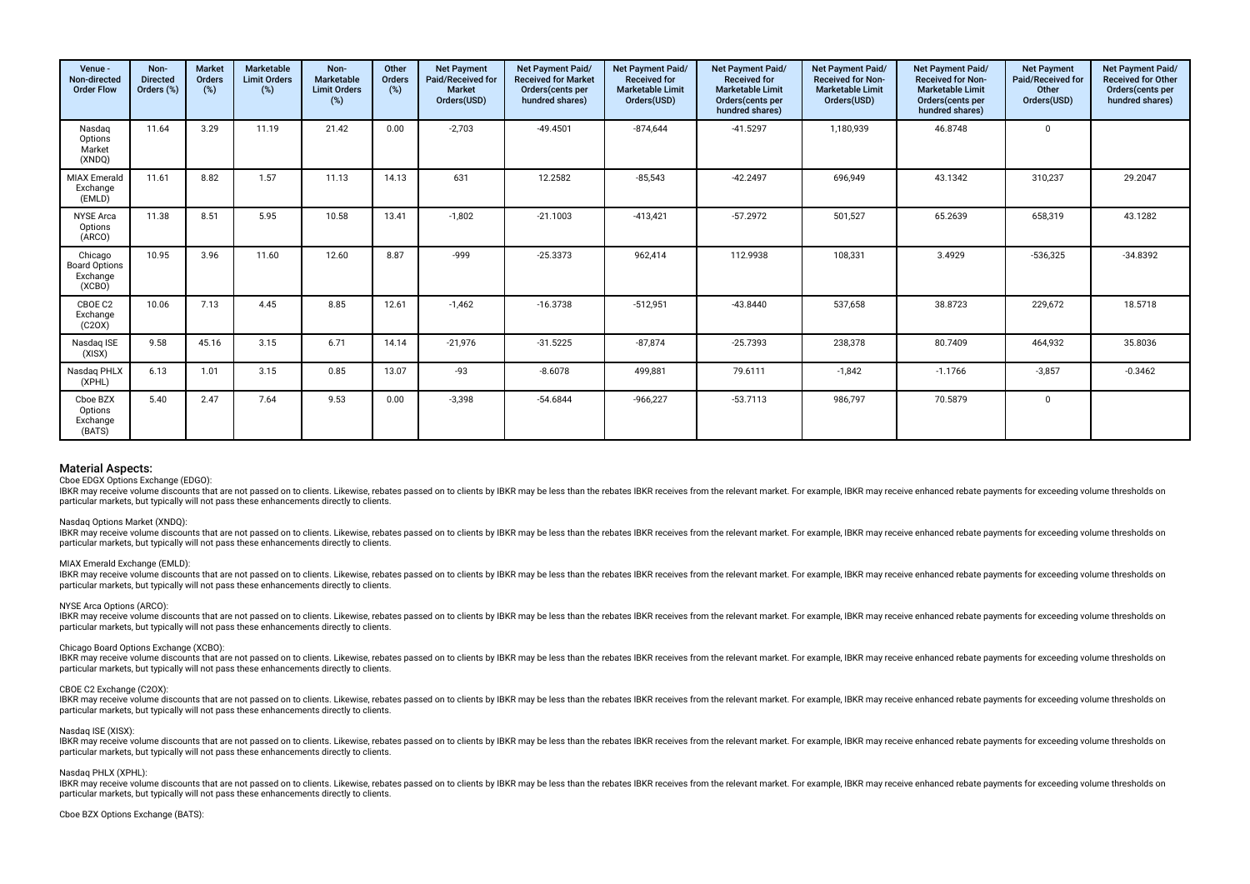| Venue -<br>Non-directed<br><b>Order Flow</b>          | Non-<br><b>Directed</b><br>Orders (%) | <b>Market</b><br>Orders<br>$(\%)$ | <b>Marketable</b><br><b>Limit Orders</b><br>(%) | Non-<br>Marketable<br><b>Limit Orders</b><br>(%) | Other<br>Orders<br>(%) | <b>Net Payment</b><br>Paid/Received for<br><b>Market</b><br>Orders(USD) | Net Payment Paid/<br><b>Received for Market</b><br>Orders(cents per<br>hundred shares) | Net Payment Paid/<br><b>Received for</b><br><b>Marketable Limit</b><br>Orders(USD) | Net Payment Paid/<br><b>Received for</b><br><b>Marketable Limit</b><br>Orders(cents per<br>hundred shares) | Net Payment Paid/<br><b>Received for Non-</b><br><b>Marketable Limit</b><br>Orders(USD) | Net Payment Paid/<br><b>Received for Non-</b><br><b>Marketable Limit</b><br>Orders (cents per<br>hundred shares) | <b>Net Payment</b><br>Paid/Received for<br>Other<br>Orders(USD) | <b>Net Payment Paid/</b><br><b>Received for Other</b><br>Orders(cents per<br>hundred shares) |
|-------------------------------------------------------|---------------------------------------|-----------------------------------|-------------------------------------------------|--------------------------------------------------|------------------------|-------------------------------------------------------------------------|----------------------------------------------------------------------------------------|------------------------------------------------------------------------------------|------------------------------------------------------------------------------------------------------------|-----------------------------------------------------------------------------------------|------------------------------------------------------------------------------------------------------------------|-----------------------------------------------------------------|----------------------------------------------------------------------------------------------|
| Nasdag<br>Options<br>Market<br>(XNDQ)                 | 11.64                                 | 3.29                              | 11.19                                           | 21.42                                            | 0.00                   | $-2,703$                                                                | $-49.4501$                                                                             | $-874,644$                                                                         | $-41.5297$                                                                                                 | 1,180,939                                                                               | 46.8748                                                                                                          | $\mathbf 0$                                                     |                                                                                              |
| <b>MIAX Emerald</b><br>Exchange<br>(EMLD)             | 11.61                                 | 8.82                              | 1.57                                            | 11.13                                            | 14.13                  | 631                                                                     | 12.2582                                                                                | $-85,543$                                                                          | $-42.2497$                                                                                                 | 696,949                                                                                 | 43.1342                                                                                                          | 310,237                                                         | 29.2047                                                                                      |
| <b>NYSE Arca</b><br>Options<br>(ARCO)                 | 11.38                                 | 8.51                              | 5.95                                            | 10.58                                            | 13.41                  | $-1,802$                                                                | $-21.1003$                                                                             | $-413,421$                                                                         | $-57.2972$                                                                                                 | 501,527                                                                                 | 65.2639                                                                                                          | 658,319                                                         | 43.1282                                                                                      |
| Chicago<br><b>Board Options</b><br>Exchange<br>(XCBO) | 10.95                                 | 3.96                              | 11.60                                           | 12.60                                            | 8.87                   | -999                                                                    | $-25.3373$                                                                             | 962,414                                                                            | 112.9938                                                                                                   | 108,331                                                                                 | 3.4929                                                                                                           | $-536,325$                                                      | $-34.8392$                                                                                   |
| CBOE C2<br>Exchange<br>(C20X)                         | 10.06                                 | 7.13                              | 4.45                                            | 8.85                                             | 12.61                  | $-1,462$                                                                | $-16.3738$                                                                             | $-512,951$                                                                         | $-43.8440$                                                                                                 | 537,658                                                                                 | 38.8723                                                                                                          | 229,672                                                         | 18.5718                                                                                      |
| Nasdag ISE<br>(XISX)                                  | 9.58                                  | 45.16                             | 3.15                                            | 6.71                                             | 14.14                  | $-21,976$                                                               | $-31.5225$                                                                             | $-87,874$                                                                          | $-25.7393$                                                                                                 | 238,378                                                                                 | 80.7409                                                                                                          | 464,932                                                         | 35.8036                                                                                      |
| Nasdag PHLX<br>(XPHL)                                 | 6.13                                  | 1.01                              | 3.15                                            | 0.85                                             | 13.07                  | $-93$                                                                   | $-8.6078$                                                                              | 499,881                                                                            | 79.6111                                                                                                    | $-1,842$                                                                                | $-1.1766$                                                                                                        | $-3,857$                                                        | $-0.3462$                                                                                    |
| Cboe BZX<br>Options<br>Exchange<br>(BATS)             | 5.40                                  | 2.47                              | 7.64                                            | 9.53                                             | 0.00                   | $-3,398$                                                                | $-54.6844$                                                                             | $-966,227$                                                                         | $-53.7113$                                                                                                 | 986,797                                                                                 | 70.5879                                                                                                          | $\mathbf 0$                                                     |                                                                                              |

Cboe EDGX Options Exchange (EDGO):

IBKR may receive volume discounts that are not passed on to clients. Likewise, rebates passed on to clients by IBKR may be less than the rebates IBKR receives from the relevant market. For example, IBKR may receive enhance particular markets, but typically will not pass these enhancements directly to clients.

#### Nasdaq Options Market (XNDQ):

IBKR may receive volume discounts that are not passed on to clients. Likewise, rebates passed on to clients by IBKR may be less than the rebates IBKR receives from the relevant market. For example, IBKR may receive enhance particular markets, but typically will not pass these enhancements directly to clients.

#### MIAX Emerald Exchange (EMLD):

IBKR may receive volume discounts that are not passed on to clients. Likewise, rebates passed on to clients by IBKR may be less than the rebates IBKR receives from the relevant market. For example, IBKR may receive enhance particular markets, but typically will not pass these enhancements directly to clients.

#### NYSE Arca Options (ARCO):

IBKR may receive volume discounts that are not passed on to clients. Likewise, rebates passed on to clients by IBKR may be less than the rebates IBKR receives from the relevant market. For example, IBKR may receive enhance particular markets, but typically will not pass these enhancements directly to clients.

#### Chicago Board Options Exchange (XCBO):

IBKR may receive volume discounts that are not passed on to clients. Likewise, rebates passed on to clients by IBKR may be less than the rebates IBKR receives from the relevant market. For example, IBKR may receive enhance particular markets, but typically will not pass these enhancements directly to clients.

#### CBOE C2 Exchange (C2OX):

IBKR may receive volume discounts that are not passed on to clients. Likewise, rebates passed on to clients by IBKR may be less than the rebates IBKR receives from the relevant market. For example, IBKR may receive enhance particular markets, but typically will not pass these enhancements directly to clients.

#### Nasdaq ISE (XISX):

IBKR may receive volume discounts that are not passed on to clients. Likewise, rebates passed on to clients by IBKR may be less than the rebates IBKR receives from the relevant market. For example, IBKR may receive enhance particular markets, but typically will not pass these enhancements directly to clients.

#### Nasdag PHLX (XPHL):

IBKR may receive volume discounts that are not passed on to clients. Likewise, rebates passed on to clients by IBKR may be less than the rebates IBKR receives from the relevant market. For example, IBKR may receive enhance particular markets, but typically will not pass these enhancements directly to clients.

#### Cboe BZX Options Exchange (BATS):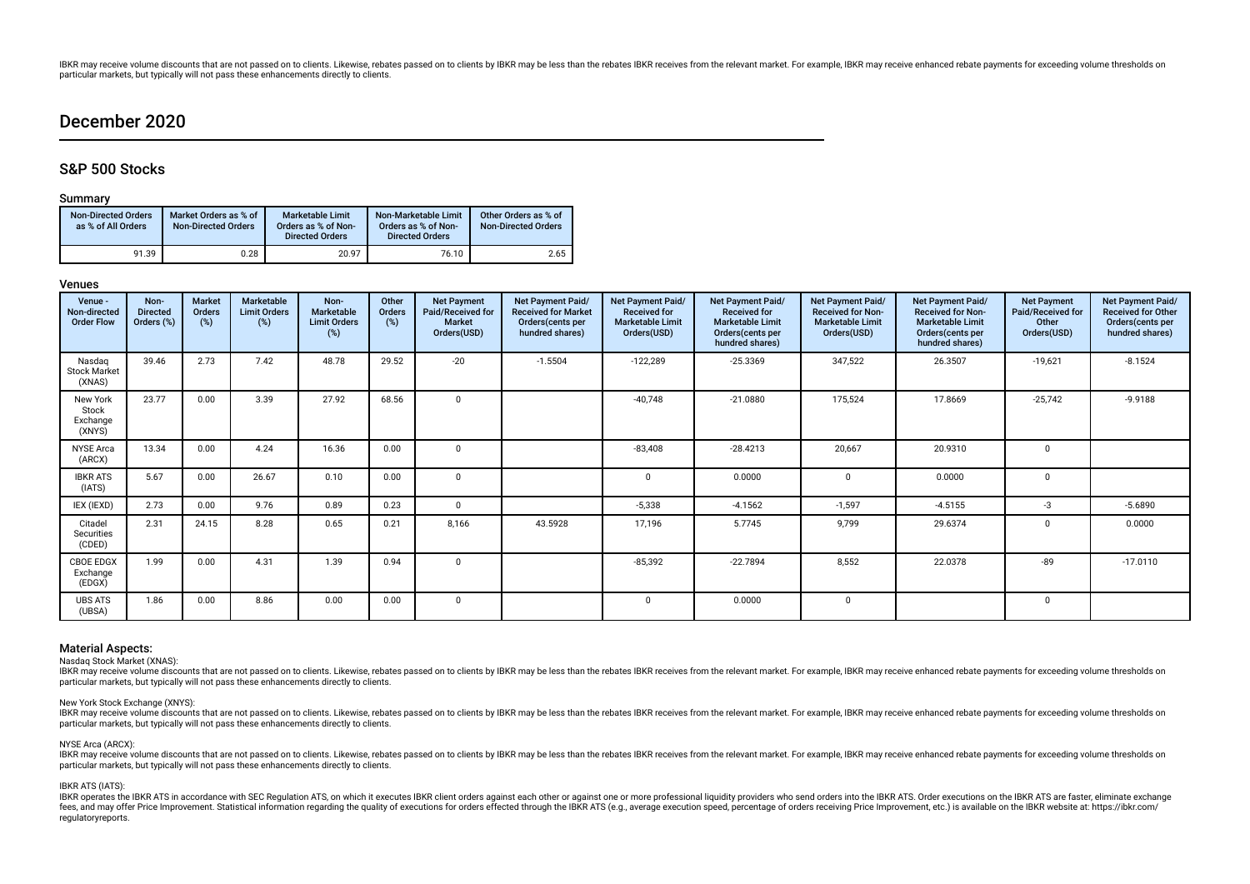# December 2020

# S&P 500 Stocks

### Summary

| <b>Non-Directed Orders</b><br>as % of All Orders | Market Orders as % of<br><b>Non-Directed Orders</b> | <b>Marketable Limit</b><br>Orders as % of Non-<br><b>Directed Orders</b> | Non-Marketable Limit<br>Orders as % of Non-<br><b>Directed Orders</b> | Other Orders as % of<br><b>Non-Directed Orders</b> |
|--------------------------------------------------|-----------------------------------------------------|--------------------------------------------------------------------------|-----------------------------------------------------------------------|----------------------------------------------------|
| 91.39                                            | 0.28                                                | 20.97                                                                    | 76.10                                                                 | 2.65                                               |

### Venues

| Venue -<br>Non-directed<br><b>Order Flow</b> | Non-<br><b>Directed</b><br>Orders (%) | <b>Market</b><br>Orders<br>(%) | Marketable<br><b>Limit Orders</b><br>(%) | Non-<br>Marketable<br><b>Limit Orders</b><br>(%) | Other<br>Orders<br>(%) | <b>Net Payment</b><br>Paid/Received for<br><b>Market</b><br>Orders(USD) | Net Payment Paid/<br><b>Received for Market</b><br>Orders(cents per<br>hundred shares) | Net Payment Paid/<br><b>Received for</b><br><b>Marketable Limit</b><br>Orders(USD) | Net Payment Paid/<br><b>Received for</b><br><b>Marketable Limit</b><br>Orders(cents per<br>hundred shares) | Net Payment Paid/<br><b>Received for Non-</b><br><b>Marketable Limit</b><br>Orders(USD) | Net Payment Paid/<br><b>Received for Non-</b><br><b>Marketable Limit</b><br>Orders(cents per<br>hundred shares) | <b>Net Payment</b><br>Paid/Received for<br>Other<br>Orders(USD) | Net Payment Paid/<br><b>Received for Other</b><br>Orders(cents per<br>hundred shares) |
|----------------------------------------------|---------------------------------------|--------------------------------|------------------------------------------|--------------------------------------------------|------------------------|-------------------------------------------------------------------------|----------------------------------------------------------------------------------------|------------------------------------------------------------------------------------|------------------------------------------------------------------------------------------------------------|-----------------------------------------------------------------------------------------|-----------------------------------------------------------------------------------------------------------------|-----------------------------------------------------------------|---------------------------------------------------------------------------------------|
| Nasdag<br><b>Stock Market</b><br>(XNAS)      | 39.46                                 | 2.73                           | 7.42                                     | 48.78                                            | 29.52                  | $-20$                                                                   | $-1.5504$                                                                              | $-122,289$                                                                         | $-25.3369$                                                                                                 | 347,522                                                                                 | 26.3507                                                                                                         | $-19,621$                                                       | $-8.1524$                                                                             |
| New York<br>Stock<br>Exchange<br>(XNYS)      | 23.77                                 | 0.00                           | 3.39                                     | 27.92                                            | 68.56                  | $\overline{0}$                                                          |                                                                                        | $-40,748$                                                                          | $-21.0880$                                                                                                 | 175,524                                                                                 | 17.8669                                                                                                         | $-25,742$                                                       | $-9.9188$                                                                             |
| <b>NYSE Arca</b><br>(ARCX)                   | 13.34                                 | 0.00                           | 4.24                                     | 16.36                                            | 0.00                   | $\mathbf 0$                                                             |                                                                                        | $-83,408$                                                                          | $-28.4213$                                                                                                 | 20,667                                                                                  | 20.9310                                                                                                         | $\mathbf{0}$                                                    |                                                                                       |
| <b>IBKR ATS</b><br>(IATS)                    | 5.67                                  | 0.00                           | 26.67                                    | 0.10                                             | 0.00                   | $\Omega$                                                                |                                                                                        |                                                                                    | 0.0000                                                                                                     | $\Omega$                                                                                | 0.0000                                                                                                          | $\Omega$                                                        |                                                                                       |
| IEX (IEXD)                                   | 2.73                                  | 0.00                           | 9.76                                     | 0.89                                             | 0.23                   | $\mathbf 0$                                                             |                                                                                        | $-5,338$                                                                           | $-4.1562$                                                                                                  | $-1,597$                                                                                | $-4.5155$                                                                                                       | -3                                                              | $-5.6890$                                                                             |
| Citadel<br><b>Securities</b><br>(CDED)       | 2.31                                  | 24.15                          | 8.28                                     | 0.65                                             | 0.21                   | 8,166                                                                   | 43.5928                                                                                | 17,196                                                                             | 5.7745                                                                                                     | 9,799                                                                                   | 29.6374                                                                                                         | $\Omega$                                                        | 0.0000                                                                                |
| <b>CBOE EDGX</b><br>Exchange<br>(EDGX)       | 1.99                                  | 0.00                           | 4.31                                     | 1.39                                             | 0.94                   | $\mathbf 0$                                                             |                                                                                        | $-85,392$                                                                          | $-22.7894$                                                                                                 | 8,552                                                                                   | 22.0378                                                                                                         | $-89$                                                           | $-17.0110$                                                                            |
| <b>UBS ATS</b><br>(UBSA)                     | 1.86                                  | 0.00                           | 8.86                                     | 0.00                                             | 0.00                   | $\Omega$                                                                |                                                                                        |                                                                                    | 0.0000                                                                                                     | $\Omega$                                                                                |                                                                                                                 | $\Omega$                                                        |                                                                                       |

# Material Aspects:

Nasdaq Stock Market (XNAS):

IBKR may receive volume discounts that are not passed on to clients. Likewise, rebates passed on to clients by IBKR may be less than the rebates IBKR receives from the relevant market. For example, IBKR may receive enhance particular markets, but typically will not pass these enhancements directly to clients.

### New York Stock Exchange (XNYS):

IBKR may receive volume discounts that are not passed on to clients. Likewise, rebates passed on to clients by IBKR may be less than the rebates IBKR receives from the relevant market. For example, IBKR may receive enhance particular markets, but typically will not pass these enhancements directly to clients.

#### NYSE Arca (ARCX):

IBKR may receive volume discounts that are not passed on to clients. Likewise, rebates passed on to clients by IBKR may be less than the rebates IBKR receives from the relevant market. For example, IBKR may receive enhance particular markets, but typically will not pass these enhancements directly to clients.

#### IBKR ATS (IATS):

IBKR operates the IBKR ATS in accordance with SEC Regulation ATS, on which it executes IBKR client orders against each other or against one or more professional liquidity providers who send orders into the IBKR ATS. Order fees, and may offer Price Improvement. Statistical information regarding the quality of executions for orders effected through the IBKR ATS (e.g., average execution speed, percentage of orders receiving Price Improvement, regulatoryreports.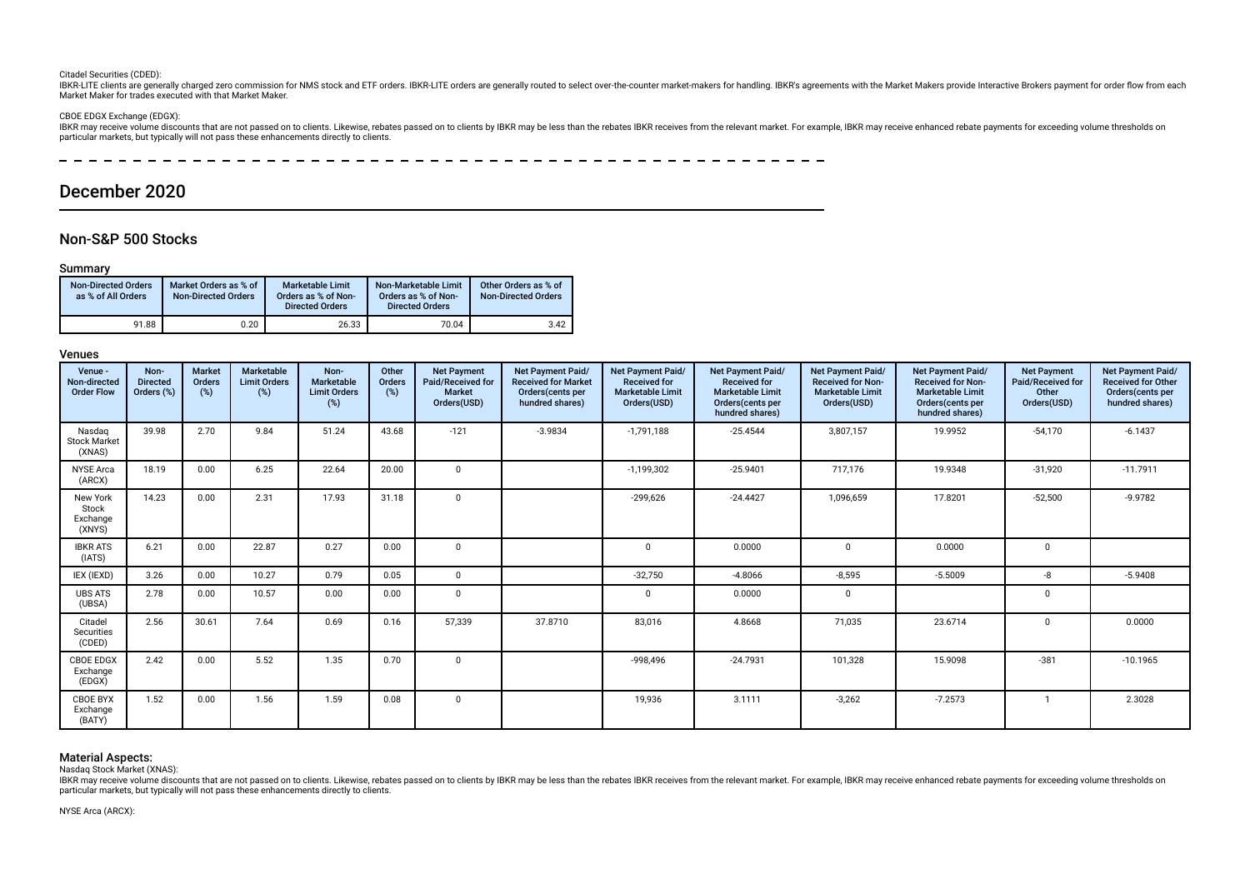#### Citadel Securities (CDED):

IBKR-LITE clients are generally charged zero commission for NMS stock and ETF orders. IBKR-LITE orders are generally routed to select over-the-counter market-makers for handling. IBKR's agreements with the Market Makers pr Market Maker for trades executed with that Market Maker.

#### CBOE EDGX Exchange (EDGX):

IBKR may receive volume discounts that are not passed on to clients. Likewise, rebates passed on to clients by IBKR may be less than the rebates IBKR receives from the relevant market. For example, IBKR may receive enhance particular markets, but typically will not pass these enhancements directly to clients.

 $\overline{\phantom{a}}$  $\frac{1}{2}$ 

# December 2020

# Non-S&P 500 Stocks

# Summary

| <b>Non-Directed Orders</b><br>as % of All Orders | Market Orders as % of<br><b>Non-Directed Orders</b> | Marketable Limit<br>Orders as % of Non-<br><b>Directed Orders</b> | Non-Marketable Limit<br>Orders as % of Non-<br><b>Directed Orders</b> | Other Orders as % of<br><b>Non-Directed Orders</b> |
|--------------------------------------------------|-----------------------------------------------------|-------------------------------------------------------------------|-----------------------------------------------------------------------|----------------------------------------------------|
| 91.88                                            | 0.20                                                | 26.33                                                             | 70.04                                                                 | 3.42                                               |

### Venues

| Venue -<br>Non-directed<br><b>Order Flow</b> | Non-<br><b>Directed</b><br>Orders (%) | <b>Market</b><br>Orders<br>(%) | <b>Marketable</b><br><b>Limit Orders</b><br>(%) | Non-<br>Marketable<br><b>Limit Orders</b><br>(%) | Other<br><b>Orders</b><br>(%) | <b>Net Payment</b><br>Paid/Received for<br><b>Market</b><br>Orders(USD) | <b>Net Payment Paid/</b><br><b>Received for Market</b><br>Orders(cents per<br>hundred shares) | <b>Net Payment Paid/</b><br><b>Received for</b><br><b>Marketable Limit</b><br>Orders(USD) | <b>Net Payment Paid/</b><br><b>Received for</b><br><b>Marketable Limit</b><br>Orders(cents per<br>hundred shares) | Net Payment Paid/<br><b>Received for Non-</b><br><b>Marketable Limit</b><br>Orders(USD) | Net Payment Paid/<br><b>Received for Non-</b><br><b>Marketable Limit</b><br>Orders(cents per<br>hundred shares) | <b>Net Payment</b><br>Paid/Received for<br>Other<br>Orders(USD) | Net Payment Paid/<br><b>Received for Other</b><br>Orders(cents per<br>hundred shares) |
|----------------------------------------------|---------------------------------------|--------------------------------|-------------------------------------------------|--------------------------------------------------|-------------------------------|-------------------------------------------------------------------------|-----------------------------------------------------------------------------------------------|-------------------------------------------------------------------------------------------|-------------------------------------------------------------------------------------------------------------------|-----------------------------------------------------------------------------------------|-----------------------------------------------------------------------------------------------------------------|-----------------------------------------------------------------|---------------------------------------------------------------------------------------|
| Nasdag<br><b>Stock Market</b><br>(XNAS)      | 39.98                                 | 2.70                           | 9.84                                            | 51.24                                            | 43.68                         | $-121$                                                                  | $-3.9834$                                                                                     | $-1,791,188$                                                                              | $-25.4544$                                                                                                        | 3,807,157                                                                               | 19.9952                                                                                                         | $-54,170$                                                       | $-6.1437$                                                                             |
| <b>NYSE Arca</b><br>(ARCX)                   | 18.19                                 | 0.00                           | 6.25                                            | 22.64                                            | 20.00                         | $\Omega$                                                                |                                                                                               | $-1,199,302$                                                                              | $-25.9401$                                                                                                        | 717.176                                                                                 | 19.9348                                                                                                         | $-31,920$                                                       | $-11.7911$                                                                            |
| New York<br>Stock<br>Exchange<br>(XNYS)      | 14.23                                 | 0.00                           | 2.31                                            | 17.93                                            | 31.18                         | $\mathbf 0$                                                             |                                                                                               | $-299,626$                                                                                | $-24.4427$                                                                                                        | 1,096,659                                                                               | 17.8201                                                                                                         | $-52,500$                                                       | $-9.9782$                                                                             |
| <b>IBKR ATS</b><br>(IATS)                    | 6.21                                  | 0.00                           | 22.87                                           | 0.27                                             | 0.00                          | $\mathbf 0$                                                             |                                                                                               | $\Omega$                                                                                  | 0.0000                                                                                                            | $\Omega$                                                                                | 0.0000                                                                                                          | $\mathbf{0}$                                                    |                                                                                       |
| IEX (IEXD)                                   | 3.26                                  | 0.00                           | 10.27                                           | 0.79                                             | 0.05                          | $\mathbf 0$                                                             |                                                                                               | $-32,750$                                                                                 | $-4.8066$                                                                                                         | $-8,595$                                                                                | $-5.5009$                                                                                                       | -8                                                              | $-5.9408$                                                                             |
| <b>UBS ATS</b><br>(UBSA)                     | 2.78                                  | 0.00                           | 10.57                                           | 0.00                                             | 0.00                          | $\mathbf 0$                                                             |                                                                                               | $^{\circ}$                                                                                | 0.0000                                                                                                            | 0                                                                                       |                                                                                                                 | 0                                                               |                                                                                       |
| Citadel<br>Securities<br>(CDED)              | 2.56                                  | 30.61                          | 7.64                                            | 0.69                                             | 0.16                          | 57,339                                                                  | 37.8710                                                                                       | 83,016                                                                                    | 4.8668                                                                                                            | 71,035                                                                                  | 23.6714                                                                                                         | $\mathbf{0}$                                                    | 0.0000                                                                                |
| <b>CBOE EDGX</b><br>Exchange<br>(EDGX)       | 2.42                                  | 0.00                           | 5.52                                            | 1.35                                             | 0.70                          | $\mathbf 0$                                                             |                                                                                               | $-998,496$                                                                                | $-24.7931$                                                                                                        | 101,328                                                                                 | 15.9098                                                                                                         | $-381$                                                          | $-10.1965$                                                                            |
| <b>CBOE BYX</b><br>Exchange<br>(BATY)        | 1.52                                  | 0.00                           | 1.56                                            | 1.59                                             | 0.08                          | $\mathbf 0$                                                             |                                                                                               | 19,936                                                                                    | 3.1111                                                                                                            | $-3,262$                                                                                | $-7.2573$                                                                                                       |                                                                 | 2.3028                                                                                |

# Material Aspects:

Nasdaq Stock Market (XNAS):

IBKR may receive volume discounts that are not passed on to clients. Likewise, rebates passed on to clients by IBKR may be less than the rebates IBKR receives from the relevant market. For example, IBKR may receive enhance particular markets, but typically will not pass these enhancements directly to clients.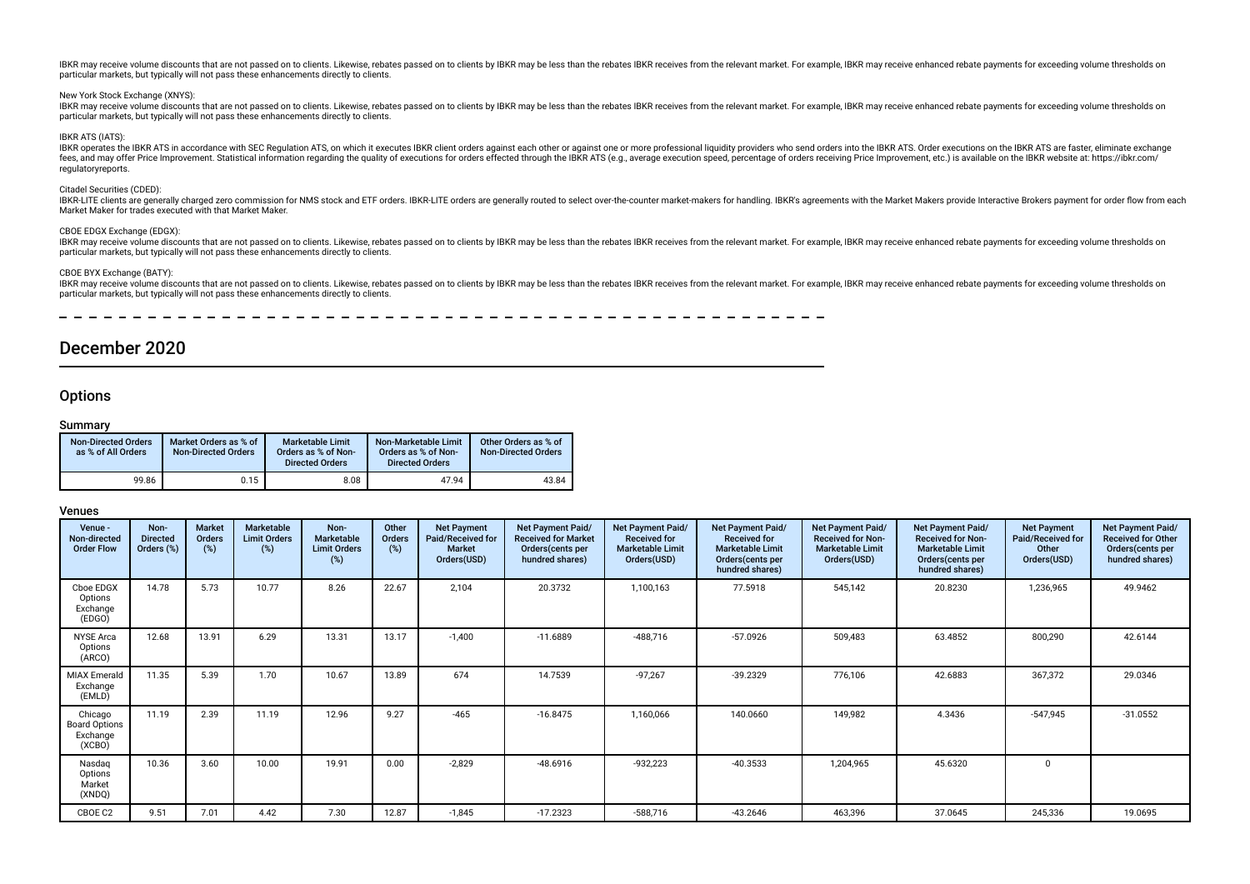#### New York Stock Exchange (XNYS):

IBKR may receive volume discounts that are not passed on to clients. Likewise, rebates passed on to clients by IBKR may be less than the rebates IBKR receives from the relevant market. For example, IBKR may receive enhance particular markets, but typically will not pass these enhancements directly to clients.

#### IBKR ATS (IATS):

IBKR operates the IBKR ATS in accordance with SEC Regulation ATS, on which it executes IBKR client orders against each other or against one or more professional liquidity providers who send orders into the IBKR ATS. Order fees, and may offer Price Improvement. Statistical information regarding the quality of executions for orders effected through the IBKR ATS (e.g., average execution speed, percentage of orders receiving Price Improvement, regulatoryreports.

#### Citadel Securities (CDED):

IBKR-LITE clients are generally charged zero commission for NMS stock and ETF orders. IBKR-LITE orders are generally routed to select over-the-counter market-makers for handling. IBKR's agreements with the Market Makers pr Market Maker for trades executed with that Market Maker.

#### CBOE EDGX Exchange (EDGX):

IBKR may receive volume discounts that are not passed on to clients. Likewise, rebates passed on to clients by IBKR may be less than the rebates IBKR receives from the relevant market. For example, IBKR may receive enhance particular markets, but typically will not pass these enhancements directly to clients.

#### CBOE BYX Exchange (BATY):

IBKR may receive volume discounts that are not passed on to clients. Likewise, rebates passed on to clients by IBKR may be less than the rebates IBKR receives from the relevant market. For example, IBKR may receive enhance particular markets, but typically will not pass these enhancements directly to clients.

\_ \_ \_ \_ \_ \_ \_ \_ \_ \_ \_ \_ \_ \_ \_ \_ \_ \_ \_

# December 2020

# **Options**

# Summary

| <b>Non-Directed Orders</b><br>as % of All Orders | Market Orders as % of<br>Non-Directed Orders | <b>Marketable Limit</b><br>Orders as % of Non-<br><b>Directed Orders</b> | Non-Marketable Limit<br>Orders as % of Non-<br><b>Directed Orders</b> | Other Orders as % of<br><b>Non-Directed Orders</b> |
|--------------------------------------------------|----------------------------------------------|--------------------------------------------------------------------------|-----------------------------------------------------------------------|----------------------------------------------------|
| 99.86                                            | 0.15                                         | 8.08                                                                     | 47.94                                                                 | 43.84                                              |

| Venue -<br>Non-directed<br><b>Order Flow</b>          | Non-<br><b>Directed</b><br>Orders (%) | <b>Market</b><br>Orders<br>(%) | Marketable<br><b>Limit Orders</b><br>$(\%)$ | Non-<br><b>Marketable</b><br><b>Limit Orders</b><br>(%) | Other<br>Orders<br>(%) | <b>Net Payment</b><br>Paid/Received for<br><b>Market</b><br>Orders(USD) | Net Payment Paid/<br><b>Received for Market</b><br>Orders(cents per<br>hundred shares) | Net Payment Paid/<br><b>Received for</b><br><b>Marketable Limit</b><br>Orders(USD) | <b>Net Payment Paid/</b><br><b>Received for</b><br><b>Marketable Limit</b><br>Orders (cents per<br>hundred shares) | Net Payment Paid/<br><b>Received for Non-</b><br><b>Marketable Limit</b><br>Orders(USD) | Net Payment Paid/<br><b>Received for Non-</b><br><b>Marketable Limit</b><br>Orders (cents per<br>hundred shares) | <b>Net Payment</b><br>Paid/Received for<br>Other<br>Orders(USD) | <b>Net Payment Paid/</b><br><b>Received for Other</b><br>Orders(cents per<br>hundred shares) |
|-------------------------------------------------------|---------------------------------------|--------------------------------|---------------------------------------------|---------------------------------------------------------|------------------------|-------------------------------------------------------------------------|----------------------------------------------------------------------------------------|------------------------------------------------------------------------------------|--------------------------------------------------------------------------------------------------------------------|-----------------------------------------------------------------------------------------|------------------------------------------------------------------------------------------------------------------|-----------------------------------------------------------------|----------------------------------------------------------------------------------------------|
| Cboe EDGX<br>Options<br>Exchange<br>(EDGO)            | 14.78                                 | 5.73                           | 10.77                                       | 8.26                                                    | 22.67                  | 2,104                                                                   | 20.3732                                                                                | 1,100,163                                                                          | 77.5918                                                                                                            | 545,142                                                                                 | 20.8230                                                                                                          | 1,236,965                                                       | 49.9462                                                                                      |
| <b>NYSE Arca</b><br>Options<br>(ARCO)                 | 12.68                                 | 13.91                          | 6.29                                        | 13.31                                                   | 13.17                  | $-1,400$                                                                | $-11.6889$                                                                             | $-488,716$                                                                         | $-57.0926$                                                                                                         | 509,483                                                                                 | 63.4852                                                                                                          | 800,290                                                         | 42.6144                                                                                      |
| <b>MIAX Emerald</b><br>Exchange<br>(EMLD)             | 11.35                                 | 5.39                           | 1.70                                        | 10.67                                                   | 13.89                  | 674                                                                     | 14.7539                                                                                | $-97,267$                                                                          | $-39.2329$                                                                                                         | 776,106                                                                                 | 42.6883                                                                                                          | 367,372                                                         | 29.0346                                                                                      |
| Chicago<br><b>Board Options</b><br>Exchange<br>(XCBO) | 11.19                                 | 2.39                           | 11.19                                       | 12.96                                                   | 9.27                   | $-465$                                                                  | $-16.8475$                                                                             | 1,160,066                                                                          | 140.0660                                                                                                           | 149,982                                                                                 | 4.3436                                                                                                           | $-547,945$                                                      | $-31.0552$                                                                                   |
| Nasdag<br>Options<br>Market<br>(XNDQ)                 | 10.36                                 | 3.60                           | 10.00                                       | 19.91                                                   | 0.00                   | $-2,829$                                                                | $-48.6916$                                                                             | $-932,223$                                                                         | $-40.3533$                                                                                                         | 1,204,965                                                                               | 45.6320                                                                                                          | $\Omega$                                                        |                                                                                              |
| CBOE C2                                               | 9.51                                  | 7.01                           | 4.42                                        | 7.30                                                    | 12.87                  | $-1,845$                                                                | $-17.2323$                                                                             | $-588,716$                                                                         | $-43.2646$                                                                                                         | 463,396                                                                                 | 37.0645                                                                                                          | 245,336                                                         | 19.0695                                                                                      |